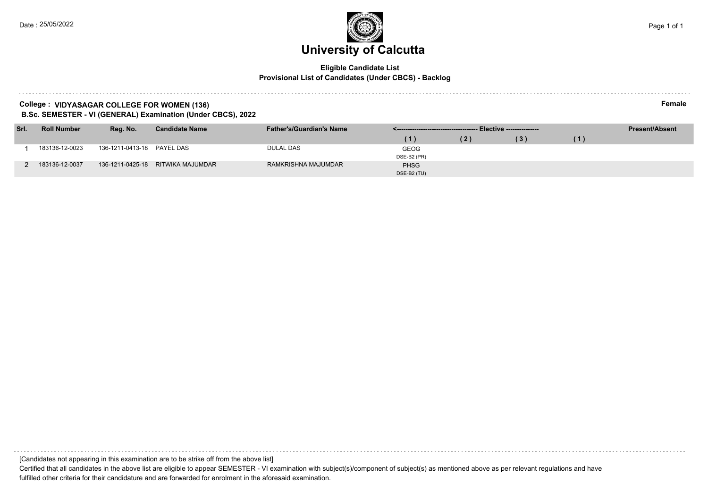#### **Eligible Candidate List Provisional List of Candidates (Under CBCS) - Backlog**

#### **College : VIDYASAGAR COLLEGE FOR WOMEN (136) Female**

**B.Sc. SEMESTER - VI (GENERAL) Examination (Under CBCS), 2022**

| Srl. | <b>Roll Number</b> | Reg. No.                   | <b>Candidate Name</b>             | <b>Father's/Guardian's Name</b> |                            |     |     |    | <b>Present/Absent</b> |
|------|--------------------|----------------------------|-----------------------------------|---------------------------------|----------------------------|-----|-----|----|-----------------------|
|      |                    |                            |                                   |                                 | (1)                        | (2) | (3) | (1 |                       |
|      | 183136-12-0023     | 136-1211-0413-18 PAYEL DAS |                                   | DULAL DAS                       | <b>GEOG</b><br>DSE-B2 (PR) |     |     |    |                       |
|      | 183136-12-0037     |                            | 136-1211-0425-18 RITWIKA MAJUMDAR | RAMKRISHNA MAJUMDAR             | <b>PHSG</b><br>DSE-B2 (TU) |     |     |    |                       |

[Candidates not appearing in this examination are to be strike off from the above list]

. . . . . . . . . . . . . . . . . . . .

Certified that all candidates in the above list are eligible to appear SEMESTER - VI examination with subject(s)/component of subject(s) as mentioned above as per relevant regulations and have fulfilled other criteria for their candidature and are forwarded for enrolment in the aforesaid examination.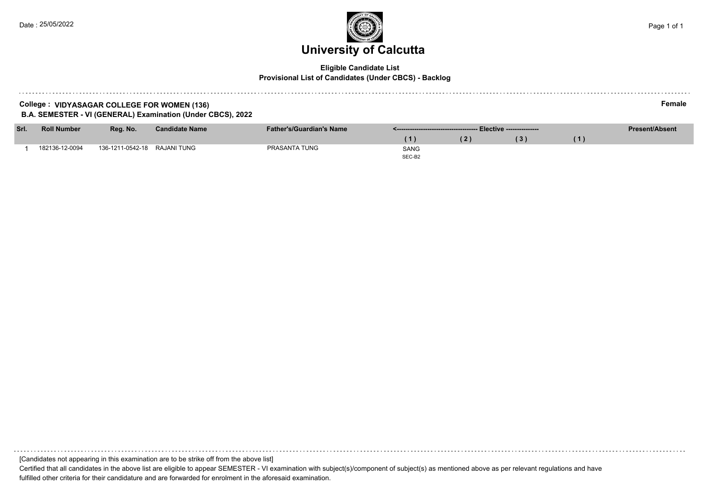### **University of Calcutta**  Date : 25/05/2022 Page 1 of 1

#### **Eligible Candidate List Provisional List of Candidates (Under CBCS) - Backlog**

#### **College : VIDYASAGAR COLLEGE FOR WOMEN (136) Female B.A. SEMESTER - VI (GENERAL) Examination (Under CBCS), 2022**

| Srl. | <b>Roll Number</b> | Rea. No.                     | <b>Candidate Name</b> | <b>Father's/Guardian's Name</b> |             | <b>Present/Absent</b> |  |
|------|--------------------|------------------------------|-----------------------|---------------------------------|-------------|-----------------------|--|
|      |                    |                              |                       |                                 |             |                       |  |
|      | 182136-12-0094     | 136-1211-0542-18 RAJANI TUNG |                       | PRASANTA TUNG                   | <b>SANG</b> |                       |  |
|      |                    |                              |                       |                                 | SEC-B2      |                       |  |

[Candidates not appearing in this examination are to be strike off from the above list]

Certified that all candidates in the above list are eligible to appear SEMESTER - VI examination with subject(s)/component of subject(s) as mentioned above as per relevant regulations and have fulfilled other criteria for their candidature and are forwarded for enrolment in the aforesaid examination.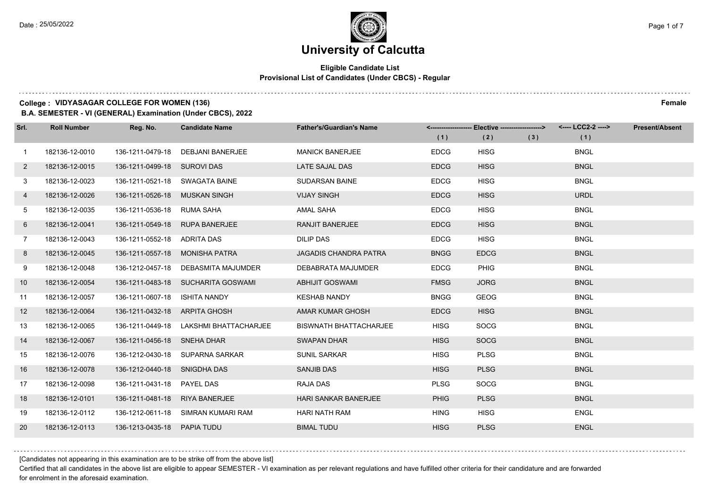### **University of Calcutta**

#### **Eligible Candidate List Provisional List of Candidates (Under CBCS) - Regular**

#### **College : VIDYASAGAR COLLEGE FOR WOMEN (136) Female**

**B.A. SEMESTER - VI (GENERAL) Examination (Under CBCS), 2022**

| Srl.         | <b>Roll Number</b> | Reg. No.                       | <b>Candidate Name</b>              | <b>Father's/Guardian's Name</b> | (1)         | <------------------- Elective ------------------><br>(2) | (3) | <---- LCC2-2 ----><br>(1) | <b>Present/Absent</b> |
|--------------|--------------------|--------------------------------|------------------------------------|---------------------------------|-------------|----------------------------------------------------------|-----|---------------------------|-----------------------|
| $\mathbf{1}$ | 182136-12-0010     | 136-1211-0479-18               | <b>DEBJANI BANERJEE</b>            | <b>MANICK BANERJEE</b>          | <b>EDCG</b> | <b>HISG</b>                                              |     | <b>BNGL</b>               |                       |
| $\mathbf{2}$ | 182136-12-0015     | 136-1211-0499-18 SUROVI DAS    |                                    | LATE SAJAL DAS                  | <b>EDCG</b> | <b>HISG</b>                                              |     | <b>BNGL</b>               |                       |
| 3            | 182136-12-0023     | 136-1211-0521-18 SWAGATA BAINE |                                    | <b>SUDARSAN BAINE</b>           | <b>EDCG</b> | <b>HISG</b>                                              |     | <b>BNGL</b>               |                       |
| 4            | 182136-12-0026     | 136-1211-0526-18               | MUSKAN SINGH                       | <b>VIJAY SINGH</b>              | <b>EDCG</b> | <b>HISG</b>                                              |     | <b>URDL</b>               |                       |
| 5            | 182136-12-0035     | 136-1211-0536-18               | RUMA SAHA                          | <b>AMAL SAHA</b>                | <b>EDCG</b> | <b>HISG</b>                                              |     | <b>BNGL</b>               |                       |
| 6            | 182136-12-0041     | 136-1211-0549-18               | <b>RUPA BANERJEE</b>               | <b>RANJIT BANERJEE</b>          | <b>EDCG</b> | <b>HISG</b>                                              |     | <b>BNGL</b>               |                       |
| $7^{\circ}$  | 182136-12-0043     | 136-1211-0552-18 ADRITA DAS    |                                    | <b>DILIP DAS</b>                | <b>EDCG</b> | <b>HISG</b>                                              |     | <b>BNGL</b>               |                       |
| 8            | 182136-12-0045     | 136-1211-0557-18               | MONISHA PATRA                      | <b>JAGADIS CHANDRA PATRA</b>    | <b>BNGG</b> | <b>EDCG</b>                                              |     | <b>BNGL</b>               |                       |
| 9            | 182136-12-0048     | 136-1212-0457-18               | DEBASMITA MAJUMDER                 | DEBABRATA MAJUMDER              | <b>EDCG</b> | <b>PHIG</b>                                              |     | <b>BNGL</b>               |                       |
| 10           | 182136-12-0054     |                                | 136-1211-0483-18 SUCHARITA GOSWAMI | <b>ABHIJIT GOSWAMI</b>          | <b>FMSG</b> | <b>JORG</b>                                              |     | <b>BNGL</b>               |                       |
| 11           | 182136-12-0057     | 136-1211-0607-18               | ISHITA NANDY                       | <b>KESHAB NANDY</b>             | <b>BNGG</b> | <b>GEOG</b>                                              |     | <b>BNGL</b>               |                       |
| 12           | 182136-12-0064     | 136-1211-0432-18 ARPITA GHOSH  |                                    | AMAR KUMAR GHOSH                | <b>EDCG</b> | <b>HISG</b>                                              |     | <b>BNGL</b>               |                       |
| 13           | 182136-12-0065     | 136-1211-0449-18               | LAKSHMI BHATTACHARJEE              | <b>BISWNATH BHATTACHARJEE</b>   | <b>HISG</b> | <b>SOCG</b>                                              |     | <b>BNGL</b>               |                       |
| 14           | 182136-12-0067     | 136-1211-0456-18 SNEHA DHAR    |                                    | <b>SWAPAN DHAR</b>              | <b>HISG</b> | <b>SOCG</b>                                              |     | <b>BNGL</b>               |                       |
| 15           | 182136-12-0076     |                                | 136-1212-0430-18 SUPARNA SARKAR    | <b>SUNIL SARKAR</b>             | <b>HISG</b> | <b>PLSG</b>                                              |     | <b>BNGL</b>               |                       |
| 16           | 182136-12-0078     | 136-1212-0440-18               | SNIGDHA DAS                        | <b>SANJIB DAS</b>               | <b>HISG</b> | <b>PLSG</b>                                              |     | <b>BNGL</b>               |                       |
| 17           | 182136-12-0098     | 136-1211-0431-18               | <b>PAYEL DAS</b>                   | RAJA DAS                        | <b>PLSG</b> | <b>SOCG</b>                                              |     | <b>BNGL</b>               |                       |
| 18           | 182136-12-0101     | 136-1211-0481-18               | <b>RIYA BANERJEE</b>               | HARI SANKAR BANERJEE            | <b>PHIG</b> | <b>PLSG</b>                                              |     | <b>BNGL</b>               |                       |
| 19           | 182136-12-0112     |                                | 136-1212-0611-18 SIMRAN KUMARI RAM | <b>HARI NATH RAM</b>            | <b>HING</b> | <b>HISG</b>                                              |     | <b>ENGL</b>               |                       |
| <b>20</b>    | 182136-12-0113     | 136-1213-0435-18               | <b>PAPIA TUDU</b>                  | <b>BIMAL TUDU</b>               | <b>HISG</b> | <b>PLSG</b>                                              |     | <b>ENGL</b>               |                       |

[Candidates not appearing in this examination are to be strike off from the above list]

Certified that all candidates in the above list are eligible to appear SEMESTER - VI examination as per relevant regulations and have fulfilled other criteria for their candidature and are forwarded for enrolment in the aforesaid examination.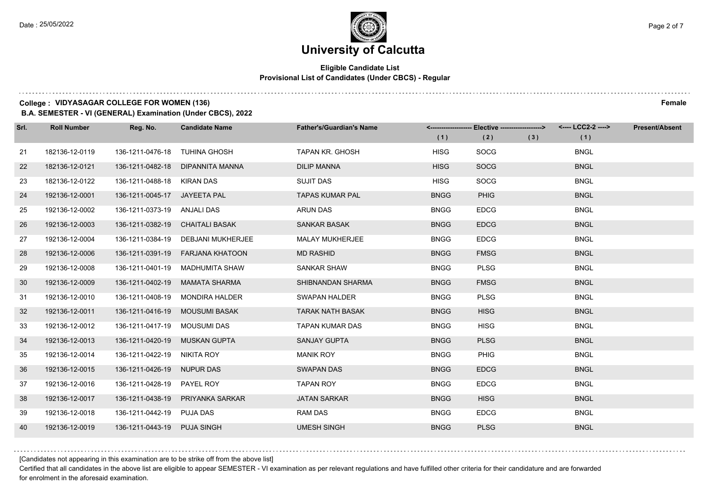### **University of Calcutta**

#### **Eligible Candidate List Provisional List of Candidates (Under CBCS) - Regular**

#### **College : VIDYASAGAR COLLEGE FOR WOMEN (136) Female**

**B.A. SEMESTER - VI (GENERAL) Examination (Under CBCS), 2022**

| Srl. | <b>Roll Number</b> | Reg. No.                      | <b>Candidate Name</b>               | <b>Father's/Guardian's Name</b> | (1)         | <-------------------- Elective -------------------><br>(2) | (3) | (1)         | <b>Present/Absent</b> |
|------|--------------------|-------------------------------|-------------------------------------|---------------------------------|-------------|------------------------------------------------------------|-----|-------------|-----------------------|
| 21   | 182136-12-0119     | 136-1211-0476-18              | <b>TUHINA GHOSH</b>                 | TAPAN KR. GHOSH                 | <b>HISG</b> | <b>SOCG</b>                                                |     | <b>BNGL</b> |                       |
| 22   | 182136-12-0121     | 136-1211-0482-18              | DIPANNITA MANNA                     | <b>DILIP MANNA</b>              | <b>HISG</b> | <b>SOCG</b>                                                |     | <b>BNGL</b> |                       |
| 23   | 182136-12-0122     | 136-1211-0488-18 KIRAN DAS    |                                     | <b>SUJIT DAS</b>                | <b>HISG</b> | SOCG                                                       |     | <b>BNGL</b> |                       |
| 24   | 192136-12-0001     | 136-1211-0045-17 JAYEETA PAL  |                                     | <b>TAPAS KUMAR PAL</b>          | <b>BNGG</b> | <b>PHIG</b>                                                |     | <b>BNGL</b> |                       |
| 25   | 192136-12-0002     | 136-1211-0373-19 ANJALI DAS   |                                     | <b>ARUN DAS</b>                 | <b>BNGG</b> | <b>EDCG</b>                                                |     | <b>BNGL</b> |                       |
| 26   | 192136-12-0003     | 136-1211-0382-19              | CHAITALI BASAK                      | <b>SANKAR BASAK</b>             | <b>BNGG</b> | <b>EDCG</b>                                                |     | <b>BNGL</b> |                       |
| 27   | 192136-12-0004     |                               | 136-1211-0384-19 DEBJANI MUKHERJEE  | <b>MALAY MUKHERJEE</b>          | <b>BNGG</b> | <b>EDCG</b>                                                |     | <b>BNGL</b> |                       |
| 28   | 192136-12-0006     |                               | 136-1211-0391-19    FARJANA KHATOON | <b>MD RASHID</b>                | <b>BNGG</b> | <b>FMSG</b>                                                |     | <b>BNGL</b> |                       |
| 29   | 192136-12-0008     |                               | 136-1211-0401-19 MADHUMITA SHAW     | SANKAR SHAW                     | <b>BNGG</b> | <b>PLSG</b>                                                |     | <b>BNGL</b> |                       |
| 30   | 192136-12-0009     | 136-1211-0402-19              | <b>MAMATA SHARMA</b>                | SHIBNANDAN SHARMA               | <b>BNGG</b> | <b>FMSG</b>                                                |     | <b>BNGL</b> |                       |
| 31   | 192136-12-0010     |                               | 136-1211-0408-19 MONDIRA HALDER     | <b>SWAPAN HALDER</b>            | <b>BNGG</b> | <b>PLSG</b>                                                |     | <b>BNGL</b> |                       |
| 32   | 192136-12-0011     |                               | 136-1211-0416-19 MOUSUMI BASAK      | <b>TARAK NATH BASAK</b>         | <b>BNGG</b> | <b>HISG</b>                                                |     | <b>BNGL</b> |                       |
| 33   | 192136-12-0012     | 136-1211-0417-19              | MOUSUMI DAS                         | <b>TAPAN KUMAR DAS</b>          | <b>BNGG</b> | <b>HISG</b>                                                |     | <b>BNGL</b> |                       |
| 34   | 192136-12-0013     | 136-1211-0420-19 MUSKAN GUPTA |                                     | <b>SANJAY GUPTA</b>             | <b>BNGG</b> | <b>PLSG</b>                                                |     | <b>BNGL</b> |                       |
| 35   | 192136-12-0014     | 136-1211-0422-19 NIKITA ROY   |                                     | <b>MANIK ROY</b>                | <b>BNGG</b> | <b>PHIG</b>                                                |     | <b>BNGL</b> |                       |
| 36   | 192136-12-0015     | 136-1211-0426-19 NUPUR DAS    |                                     | <b>SWAPAN DAS</b>               | <b>BNGG</b> | <b>EDCG</b>                                                |     | <b>BNGL</b> |                       |
| 37   | 192136-12-0016     | 136-1211-0428-19              | PAYEL ROY                           | <b>TAPAN ROY</b>                | <b>BNGG</b> | <b>EDCG</b>                                                |     | <b>BNGL</b> |                       |
| 38   | 192136-12-0017     |                               | 136-1211-0438-19 PRIYANKA SARKAR    | <b>JATAN SARKAR</b>             | <b>BNGG</b> | <b>HISG</b>                                                |     | <b>BNGL</b> |                       |
| 39   | 192136-12-0018     | 136-1211-0442-19 PUJA DAS     |                                     | <b>RAM DAS</b>                  | <b>BNGG</b> | <b>EDCG</b>                                                |     | <b>BNGL</b> |                       |
| 40   | 192136-12-0019     | 136-1211-0443-19 PUJA SINGH   |                                     | <b>UMESH SINGH</b>              | <b>BNGG</b> | <b>PLSG</b>                                                |     | <b>BNGL</b> |                       |

[Candidates not appearing in this examination are to be strike off from the above list]

Certified that all candidates in the above list are eligible to appear SEMESTER - VI examination as per relevant regulations and have fulfilled other criteria for their candidature and are forwarded for enrolment in the aforesaid examination.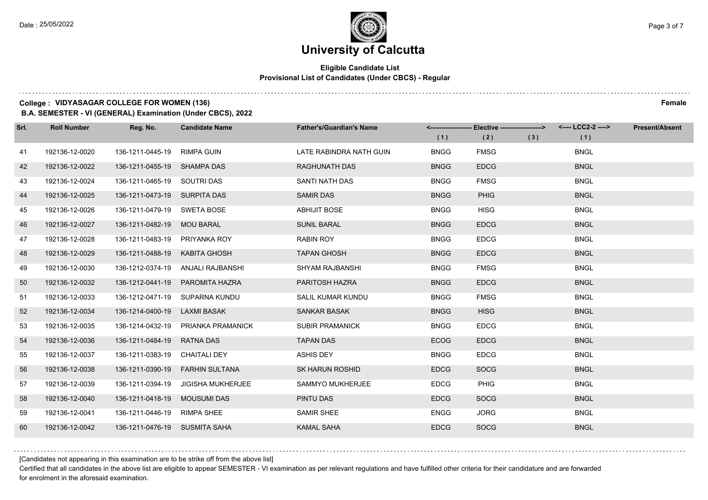### **University of Calcutta**

#### **Eligible Candidate List Provisional List of Candidates (Under CBCS) - Regular**

#### **College : VIDYASAGAR COLLEGE FOR WOMEN (136) Female**

**B.A. SEMESTER - VI (GENERAL) Examination (Under CBCS), 2022**

| Srl. | <b>Roll Number</b> | Reg. No.                      | <b>Candidate Name</b>              | <b>Father's/Guardian's Name</b> | (1)         | <-------------------- Elective -------------------><br>(2) | (3) | <---- LCC2-2 ----><br>(1) | <b>Present/Absent</b> |
|------|--------------------|-------------------------------|------------------------------------|---------------------------------|-------------|------------------------------------------------------------|-----|---------------------------|-----------------------|
| 41   | 192136-12-0020     | 136-1211-0445-19              | RIMPA GUIN                         | LATE RABINDRA NATH GUIN         | <b>BNGG</b> | <b>FMSG</b>                                                |     | <b>BNGL</b>               |                       |
| 42   | 192136-12-0022     | 136-1211-0455-19 SHAMPA DAS   |                                    | <b>RAGHUNATH DAS</b>            | <b>BNGG</b> | <b>EDCG</b>                                                |     | <b>BNGL</b>               |                       |
| 43   | 192136-12-0024     | 136-1211-0465-19 SOUTRI DAS   |                                    | SANTI NATH DAS                  | <b>BNGG</b> | <b>FMSG</b>                                                |     | <b>BNGL</b>               |                       |
| 44   | 192136-12-0025     | 136-1211-0473-19 SURPITA DAS  |                                    | <b>SAMIR DAS</b>                | <b>BNGG</b> | <b>PHIG</b>                                                |     | <b>BNGL</b>               |                       |
| 45   | 192136-12-0026     | 136-1211-0479-19              | SWETA BOSE                         | <b>ABHIJIT BOSE</b>             | <b>BNGG</b> | <b>HISG</b>                                                |     | <b>BNGL</b>               |                       |
| 46   | 192136-12-0027     | 136-1211-0482-19              | MOU BARAL                          | <b>SUNIL BARAL</b>              | <b>BNGG</b> | <b>EDCG</b>                                                |     | <b>BNGL</b>               |                       |
| 47   | 192136-12-0028     | 136-1211-0483-19 PRIYANKA ROY |                                    | <b>RABIN ROY</b>                | <b>BNGG</b> | <b>EDCG</b>                                                |     | <b>BNGL</b>               |                       |
| 48   | 192136-12-0029     | 136-1211-0488-19 KABITA GHOSH |                                    | <b>TAPAN GHOSH</b>              | <b>BNGG</b> | <b>EDCG</b>                                                |     | <b>BNGL</b>               |                       |
| 49   | 192136-12-0030     |                               | 136-1212-0374-19 ANJALI RAJBANSHI  | SHYAM RAJBANSHI                 | <b>BNGG</b> | <b>FMSG</b>                                                |     | <b>BNGL</b>               |                       |
| 50   | 192136-12-0032     | 136-1212-0441-19              | PAROMITA HAZRA                     | PARITOSH HAZRA                  | <b>BNGG</b> | <b>EDCG</b>                                                |     | <b>BNGL</b>               |                       |
| 51   | 192136-12-0033     |                               | 136-1212-0471-19 SUPARNA KUNDU     | SALIL KUMAR KUNDU               | <b>BNGG</b> | <b>FMSG</b>                                                |     | <b>BNGL</b>               |                       |
| 52   | 192136-12-0034     | 136-1214-0400-19 LAXMI BASAK  |                                    | <b>SANKAR BASAK</b>             | <b>BNGG</b> | <b>HISG</b>                                                |     | <b>BNGL</b>               |                       |
| 53   | 192136-12-0035     | 136-1214-0432-19              | PRIANKA PRAMANICK                  | <b>SUBIR PRAMANICK</b>          | <b>BNGG</b> | <b>EDCG</b>                                                |     | <b>BNGL</b>               |                       |
| 54   | 192136-12-0036     | 136-1211-0484-19              | <b>RATNA DAS</b>                   | <b>TAPAN DAS</b>                | <b>ECOG</b> | <b>EDCG</b>                                                |     | <b>BNGL</b>               |                       |
| 55   | 192136-12-0037     | 136-1211-0383-19 CHAITALI DEY |                                    | ASHIS DEY                       | <b>BNGG</b> | <b>EDCG</b>                                                |     | <b>BNGL</b>               |                       |
| 56   | 192136-12-0038     |                               | 136-1211-0390-19    FARHIN SULTANA | <b>SK HARUN ROSHID</b>          | <b>EDCG</b> | <b>SOCG</b>                                                |     | <b>BNGL</b>               |                       |
| 57   | 192136-12-0039     | 136-1211-0394-19              | <b>JIGISHA MUKHERJEE</b>           | <b>SAMMYO MUKHERJEE</b>         | <b>EDCG</b> | <b>PHIG</b>                                                |     | <b>BNGL</b>               |                       |
| 58   | 192136-12-0040     | 136-1211-0418-19              | <b>MOUSUMI DAS</b>                 | PINTU DAS                       | <b>EDCG</b> | <b>SOCG</b>                                                |     | <b>BNGL</b>               |                       |
| 59   | 192136-12-0041     | 136-1211-0446-19 RIMPA SHEE   |                                    | <b>SAMIR SHEE</b>               | <b>ENGG</b> | <b>JORG</b>                                                |     | <b>BNGL</b>               |                       |
| 60   | 192136-12-0042     | 136-1211-0476-19 SUSMITA SAHA |                                    | <b>KAMAL SAHA</b>               | <b>EDCG</b> | <b>SOCG</b>                                                |     | <b>BNGL</b>               |                       |

[Candidates not appearing in this examination are to be strike off from the above list]

Certified that all candidates in the above list are eligible to appear SEMESTER - VI examination as per relevant regulations and have fulfilled other criteria for their candidature and are forwarded for enrolment in the aforesaid examination.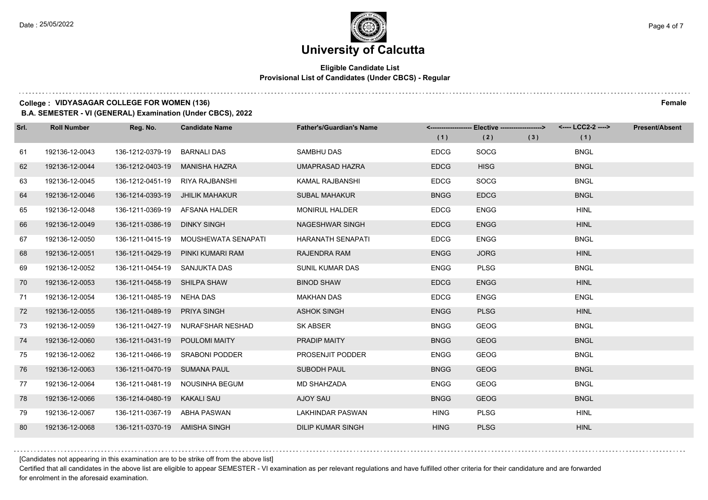### **University of Calcutta**

#### **Eligible Candidate List Provisional List of Candidates (Under CBCS) - Regular**

#### **College : VIDYASAGAR COLLEGE FOR WOMEN (136) Female**

**B.A. SEMESTER - VI (GENERAL) Examination (Under CBCS), 2022**

| Srl. | <b>Roll Number</b> | Reg. No.                      | <b>Candidate Name</b>                | <b>Father's/Guardian's Name</b> | (1)         | <-------------------- Elective -------------------><br>(2) | (3) | (1)         | <b>Present/Absent</b> |
|------|--------------------|-------------------------------|--------------------------------------|---------------------------------|-------------|------------------------------------------------------------|-----|-------------|-----------------------|
| 61   | 192136-12-0043     | 136-1212-0379-19              | <b>BARNALI DAS</b>                   | <b>SAMBHU DAS</b>               | <b>EDCG</b> | <b>SOCG</b>                                                |     | <b>BNGL</b> |                       |
| 62   | 192136-12-0044     | 136-1212-0403-19              | <b>MANISHA HAZRA</b>                 | <b>UMAPRASAD HAZRA</b>          | <b>EDCG</b> | <b>HISG</b>                                                |     | <b>BNGL</b> |                       |
| 63   | 192136-12-0045     |                               | 136-1212-0451-19 RIYA RAJBANSHI      | <b>KAMAL RAJBANSHI</b>          | <b>EDCG</b> | SOCG                                                       |     | <b>BNGL</b> |                       |
| 64   | 192136-12-0046     |                               | 136-1214-0393-19 JHILIK MAHAKUR      | <b>SUBAL MAHAKUR</b>            | <b>BNGG</b> | <b>EDCG</b>                                                |     | <b>BNGL</b> |                       |
| 65   | 192136-12-0048     | 136-1211-0369-19              | AFSANA HALDER                        | <b>MONIRUL HALDER</b>           | <b>EDCG</b> | <b>ENGG</b>                                                |     | <b>HINL</b> |                       |
| 66   | 192136-12-0049     | 136-1211-0386-19              | <b>DINKY SINGH</b>                   | <b>NAGESHWAR SINGH</b>          | <b>EDCG</b> | <b>ENGG</b>                                                |     | <b>HINL</b> |                       |
| 67   | 192136-12-0050     |                               | 136-1211-0415-19 MOUSHEWATA SENAPATI | <b>HARANATH SENAPATI</b>        | <b>EDCG</b> | <b>ENGG</b>                                                |     | <b>BNGL</b> |                       |
| 68   | 192136-12-0051     |                               | 136-1211-0429-19 PINKI KUMARI RAM    | <b>RAJENDRA RAM</b>             | <b>ENGG</b> | <b>JORG</b>                                                |     | <b>HINL</b> |                       |
| 69   | 192136-12-0052     | 136-1211-0454-19 SANJUKTA DAS |                                      | SUNIL KUMAR DAS                 | <b>ENGG</b> | <b>PLSG</b>                                                |     | <b>BNGL</b> |                       |
| 70   | 192136-12-0053     | 136-1211-0458-19 SHILPA SHAW  |                                      | <b>BINOD SHAW</b>               | <b>EDCG</b> | <b>ENGG</b>                                                |     | <b>HINL</b> |                       |
| 71   | 192136-12-0054     | 136-1211-0485-19 NEHA DAS     |                                      | <b>MAKHAN DAS</b>               | <b>EDCG</b> | <b>ENGG</b>                                                |     | <b>ENGL</b> |                       |
| 72   | 192136-12-0055     | 136-1211-0489-19 PRIYA SINGH  |                                      | <b>ASHOK SINGH</b>              | <b>ENGG</b> | <b>PLSG</b>                                                |     | <b>HINL</b> |                       |
| 73   | 192136-12-0059     | 136-1211-0427-19              | NURAFSHAR NESHAD                     | <b>SK ABSER</b>                 | <b>BNGG</b> | <b>GEOG</b>                                                |     | <b>BNGL</b> |                       |
| 74   | 192136-12-0060     | 136-1211-0431-19              | <b>POULOMI MAITY</b>                 | PRADIP MAITY                    | <b>BNGG</b> | <b>GEOG</b>                                                |     | <b>BNGL</b> |                       |
| 75   | 192136-12-0062     |                               | 136-1211-0466-19 SRABONI PODDER      | PROSENJIT PODDER                | <b>ENGG</b> | <b>GEOG</b>                                                |     | <b>BNGL</b> |                       |
| 76   | 192136-12-0063     | 136-1211-0470-19 SUMANA PAUL  |                                      | SUBODH PAUL                     | <b>BNGG</b> | <b>GEOG</b>                                                |     | <b>BNGL</b> |                       |
| 77   | 192136-12-0064     | 136-1211-0481-19              | NOUSINHA BEGUM                       | <b>MD SHAHZADA</b>              | <b>ENGG</b> | <b>GEOG</b>                                                |     | <b>BNGL</b> |                       |
| 78   | 192136-12-0066     | 136-1214-0480-19 KAKALI SAU   |                                      | AJOY SAU                        | <b>BNGG</b> | <b>GEOG</b>                                                |     | <b>BNGL</b> |                       |
| 79   | 192136-12-0067     | 136-1211-0367-19 ABHA PASWAN  |                                      | <b>LAKHINDAR PASWAN</b>         | <b>HING</b> | <b>PLSG</b>                                                |     | <b>HINL</b> |                       |
| 80   | 192136-12-0068     | 136-1211-0370-19 AMISHA SINGH |                                      | <b>DILIP KUMAR SINGH</b>        | <b>HING</b> | <b>PLSG</b>                                                |     | <b>HINL</b> |                       |

[Candidates not appearing in this examination are to be strike off from the above list]

Certified that all candidates in the above list are eligible to appear SEMESTER - VI examination as per relevant regulations and have fulfilled other criteria for their candidature and are forwarded for enrolment in the aforesaid examination.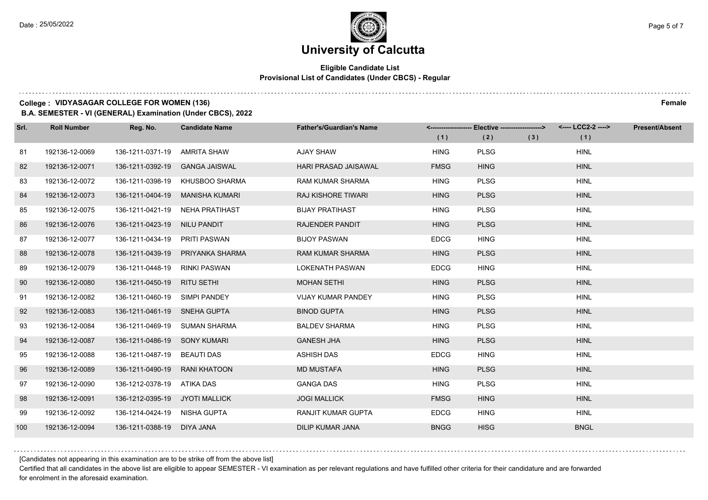#### **Eligible Candidate List Provisional List of Candidates (Under CBCS) - Regular**

#### **College : VIDYASAGAR COLLEGE FOR WOMEN (136) Female**

**B.A. SEMESTER - VI (GENERAL) Examination (Under CBCS), 2022**

| Srl. | <b>Roll Number</b> | Reg. No.                       | <b>Candidate Name</b> | <b>Father's/Guardian's Name</b> | (1)         | <-------------------- Elective -------------------><br>(2) | (3) | (1)         | <b>Present/Absent</b> |
|------|--------------------|--------------------------------|-----------------------|---------------------------------|-------------|------------------------------------------------------------|-----|-------------|-----------------------|
|      |                    |                                |                       |                                 |             |                                                            |     |             |                       |
| 81   | 192136-12-0069     | 136-1211-0371-19               | AMRITA SHAW           | <b>AJAY SHAW</b>                | <b>HING</b> | <b>PLSG</b>                                                |     | <b>HINL</b> |                       |
| 82   | 192136-12-0071     | 136-1211-0392-19               | <b>GANGA JAISWAL</b>  | <b>HARI PRASAD JAISAWAL</b>     | <b>FMSG</b> | <b>HING</b>                                                |     | <b>HINL</b> |                       |
| 83   | 192136-12-0072     | 136-1211-0398-19               | KHUSBOO SHARMA        | <b>RAM KUMAR SHARMA</b>         | <b>HING</b> | <b>PLSG</b>                                                |     | <b>HINL</b> |                       |
| 84   | 192136-12-0073     | 136-1211-0404-19               | MANISHA KUMARI        | RAJ KISHORE TIWARI              | <b>HING</b> | <b>PLSG</b>                                                |     | <b>HINL</b> |                       |
| 85   | 192136-12-0075     | 136-1211-0421-19               | NEHA PRATIHAST        | <b>BIJAY PRATIHAST</b>          | <b>HING</b> | <b>PLSG</b>                                                |     | <b>HINL</b> |                       |
| 86   | 192136-12-0076     | 136-1211-0423-19               | <b>NILU PANDIT</b>    | RAJENDER PANDIT                 | <b>HING</b> | <b>PLSG</b>                                                |     | <b>HINL</b> |                       |
| 87   | 192136-12-0077     | 136-1211-0434-19 PRITI PASWAN  |                       | <b>BIJOY PASWAN</b>             | <b>EDCG</b> | <b>HING</b>                                                |     | <b>HINL</b> |                       |
| 88   | 192136-12-0078     | 136-1211-0439-19               | PRIYANKA SHARMA       | <b>RAM KUMAR SHARMA</b>         | <b>HING</b> | <b>PLSG</b>                                                |     | <b>HINL</b> |                       |
| 89   | 192136-12-0079     | 136-1211-0448-19               | RINKI PASWAN          | <b>LOKENATH PASWAN</b>          | <b>EDCG</b> | <b>HING</b>                                                |     | <b>HINL</b> |                       |
| 90   | 192136-12-0080     | 136-1211-0450-19               | <b>RITU SETHI</b>     | <b>MOHAN SETHI</b>              | <b>HING</b> | <b>PLSG</b>                                                |     | <b>HINL</b> |                       |
| 91   | 192136-12-0082     | 136-1211-0460-19 SIMPI PANDEY  |                       | <b>VIJAY KUMAR PANDEY</b>       | <b>HING</b> | <b>PLSG</b>                                                |     | <b>HINL</b> |                       |
| 92   | 192136-12-0083     | 136-1211-0461-19 SNEHA GUPTA   |                       | <b>BINOD GUPTA</b>              | <b>HING</b> | <b>PLSG</b>                                                |     | <b>HINL</b> |                       |
| 93   | 192136-12-0084     | 136-1211-0469-19               | <b>SUMAN SHARMA</b>   | <b>BALDEV SHARMA</b>            | <b>HING</b> | <b>PLSG</b>                                                |     | <b>HINL</b> |                       |
| 94   | 192136-12-0087     | 136-1211-0486-19 SONY KUMARI   |                       | <b>GANESH JHA</b>               | <b>HING</b> | <b>PLSG</b>                                                |     | <b>HINL</b> |                       |
| 95   | 192136-12-0088     | 136-1211-0487-19               | <b>BEAUTI DAS</b>     | <b>ASHISH DAS</b>               | <b>EDCG</b> | <b>HING</b>                                                |     | <b>HINL</b> |                       |
| 96   | 192136-12-0089     | 136-1211-0490-19               | RANI KHATOON          | <b>MD MUSTAFA</b>               | <b>HING</b> | <b>PLSG</b>                                                |     | <b>HINL</b> |                       |
| 97   | 192136-12-0090     | 136-1212-0378-19               | ATIKA DAS             | <b>GANGA DAS</b>                | <b>HING</b> | <b>PLSG</b>                                                |     | <b>HINL</b> |                       |
| 98   | 192136-12-0091     | 136-1212-0395-19 JYOTI MALLICK |                       | <b>JOGI MALLICK</b>             | <b>FMSG</b> | <b>HING</b>                                                |     | <b>HINL</b> |                       |
| 99   | 192136-12-0092     | 136-1214-0424-19 NISHA GUPTA   |                       | <b>RANJIT KUMAR GUPTA</b>       | <b>EDCG</b> | <b>HING</b>                                                |     | <b>HINL</b> |                       |
| 100  | 192136-12-0094     | 136-1211-0388-19               | DIYA JANA             | <b>DILIP KUMAR JANA</b>         | <b>BNGG</b> | <b>HISG</b>                                                |     | <b>BNGL</b> |                       |

[Candidates not appearing in this examination are to be strike off from the above list]

Certified that all candidates in the above list are eligible to appear SEMESTER - VI examination as per relevant regulations and have fulfilled other criteria for their candidature and are forwarded for enrolment in the aforesaid examination.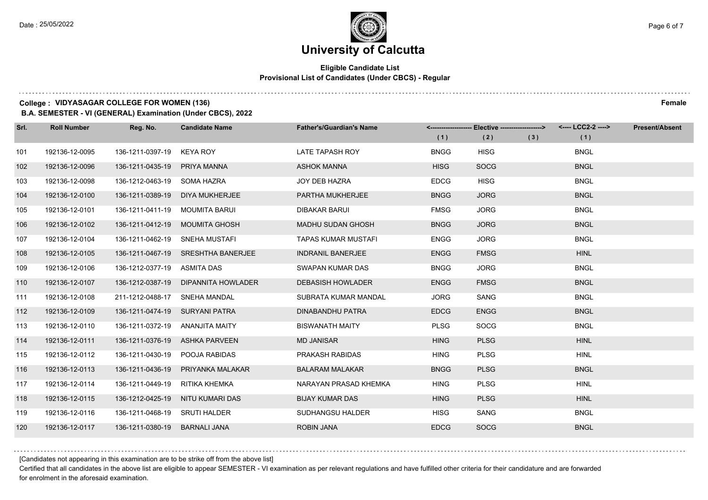#### **Eligible Candidate List Provisional List of Candidates (Under CBCS) - Regular**

#### **College : VIDYASAGAR COLLEGE FOR WOMEN (136) Female**

**B.A. SEMESTER - VI (GENERAL) Examination (Under CBCS), 2022**

| Srl. | <b>Roll Number</b> | Reg. No.                       | <b>Candidate Name</b>              | <b>Father's/Guardian's Name</b> | (1)         | <-------------------- Elective -------------------><br>(2) | (3) | <---- LCC2-2 ----><br>(1) | <b>Present/Absent</b> |
|------|--------------------|--------------------------------|------------------------------------|---------------------------------|-------------|------------------------------------------------------------|-----|---------------------------|-----------------------|
| 101  | 192136-12-0095     | 136-1211-0397-19               | <b>KEYA ROY</b>                    | LATE TAPASH ROY                 | <b>BNGG</b> | <b>HISG</b>                                                |     | <b>BNGL</b>               |                       |
| 102  | 192136-12-0096     | 136-1211-0435-19               | PRIYA MANNA                        | <b>ASHOK MANNA</b>              | <b>HISG</b> | <b>SOCG</b>                                                |     | <b>BNGL</b>               |                       |
| 103  | 192136-12-0098     | 136-1212-0463-19 SOMA HAZRA    |                                    | <b>JOY DEB HAZRA</b>            | <b>EDCG</b> | <b>HISG</b>                                                |     | <b>BNGL</b>               |                       |
| 104  | 192136-12-0100     | 136-1211-0389-19               | <b>DIYA MUKHERJEE</b>              | PARTHA MUKHERJEE                | <b>BNGG</b> | <b>JORG</b>                                                |     | <b>BNGL</b>               |                       |
| 105  | 192136-12-0101     | 136-1211-0411-19               | <b>MOUMITA BARUI</b>               | <b>DIBAKAR BARUI</b>            | <b>FMSG</b> | <b>JORG</b>                                                |     | <b>BNGL</b>               |                       |
| 106  | 192136-12-0102     | 136-1211-0412-19               | <b>MOUMITA GHOSH</b>               | <b>MADHU SUDAN GHOSH</b>        | <b>BNGG</b> | <b>JORG</b>                                                |     | <b>BNGL</b>               |                       |
| 107  | 192136-12-0104     | 136-1211-0462-19               | SNEHA MUSTAFI                      | <b>TAPAS KUMAR MUSTAFI</b>      | <b>ENGG</b> | <b>JORG</b>                                                |     | <b>BNGL</b>               |                       |
| 108  | 192136-12-0105     |                                | 136-1211-0467-19 SRESHTHA BANERJEE | <b>INDRANIL BANERJEE</b>        | <b>ENGG</b> | <b>FMSG</b>                                                |     | <b>HINL</b>               |                       |
| 109  | 192136-12-0106     | 136-1212-0377-19               | ASMITA DAS                         | SWAPAN KUMAR DAS                | <b>BNGG</b> | <b>JORG</b>                                                |     | <b>BNGL</b>               |                       |
| 110  | 192136-12-0107     | 136-1212-0387-19               | DIPANNITA HOWLADER                 | <b>DEBASISH HOWLADER</b>        | <b>ENGG</b> | <b>FMSG</b>                                                |     | <b>BNGL</b>               |                       |
| 111  | 192136-12-0108     | 211-1212-0488-17               | SNEHA MANDAL                       | SUBRATA KUMAR MANDAL            | <b>JORG</b> | SANG                                                       |     | <b>BNGL</b>               |                       |
| 112  | 192136-12-0109     | 136-1211-0474-19 SURYANI PATRA |                                    | <b>DINABANDHU PATRA</b>         | <b>EDCG</b> | <b>ENGG</b>                                                |     | <b>BNGL</b>               |                       |
| 113  | 192136-12-0110     | 136-1211-0372-19               | ANANJITA MAITY                     | <b>BISWANATH MAITY</b>          | <b>PLSG</b> | SOCG                                                       |     | <b>BNGL</b>               |                       |
| 114  | 192136-12-0111     | 136-1211-0376-19               | <b>ASHKA PARVEEN</b>               | <b>MD JANISAR</b>               | <b>HING</b> | <b>PLSG</b>                                                |     | <b>HINL</b>               |                       |
| 115  | 192136-12-0112     | 136-1211-0430-19               | POOJA RABIDAS                      | PRAKASH RABIDAS                 | <b>HING</b> | <b>PLSG</b>                                                |     | <b>HINL</b>               |                       |
| 116  | 192136-12-0113     | 136-1211-0436-19               | PRIYANKA MALAKAR                   | <b>BALARAM MALAKAR</b>          | <b>BNGG</b> | <b>PLSG</b>                                                |     | <b>BNGL</b>               |                       |
| 117  | 192136-12-0114     | 136-1211-0449-19               | <b>RITIKA KHEMKA</b>               | NARAYAN PRASAD KHEMKA           | <b>HING</b> | <b>PLSG</b>                                                |     | <b>HINL</b>               |                       |
| 118  | 192136-12-0115     | 136-1212-0425-19               | NITU KUMARI DAS                    | <b>BIJAY KUMAR DAS</b>          | <b>HING</b> | <b>PLSG</b>                                                |     | <b>HINL</b>               |                       |
| 119  | 192136-12-0116     | 136-1211-0468-19               | <b>SRUTI HALDER</b>                | <b>SUDHANGSU HALDER</b>         | <b>HISG</b> | SANG                                                       |     | <b>BNGL</b>               |                       |
| 120  | 192136-12-0117     | 136-1211-0380-19               | <b>BARNALI JANA</b>                | <b>ROBIN JANA</b>               | <b>EDCG</b> | <b>SOCG</b>                                                |     | <b>BNGL</b>               |                       |

[Candidates not appearing in this examination are to be strike off from the above list]

Certified that all candidates in the above list are eligible to appear SEMESTER - VI examination as per relevant regulations and have fulfilled other criteria for their candidature and are forwarded for enrolment in the aforesaid examination.

. . . . . . . . . .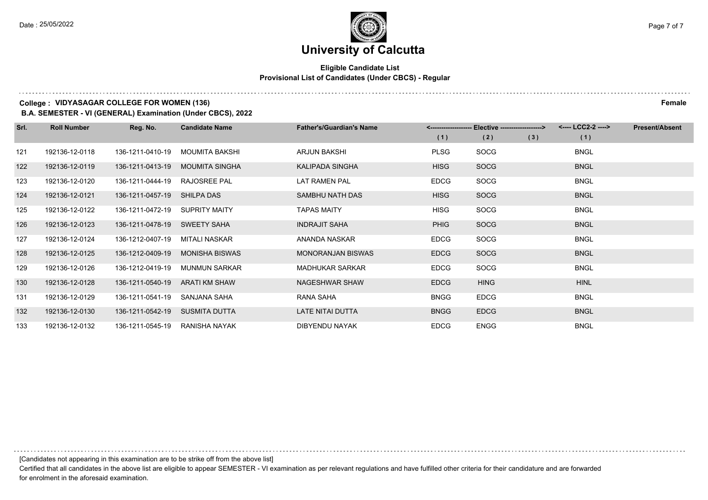#### **Eligible Candidate List Provisional List of Candidates (Under CBCS) - Regular**

#### **College : VIDYASAGAR COLLEGE FOR WOMEN (136) Female**

**B.A. SEMESTER - VI (GENERAL) Examination (Under CBCS), 2022**

| Srl. | <b>Roll Number</b> | Reg. No.         | <b>Candidate Name</b> | <b>Father's/Guardian's Name</b> | <-------------------- | Elective -------------------> |     | <---- LCC2-2 ----> | <b>Present/Absent</b> |
|------|--------------------|------------------|-----------------------|---------------------------------|-----------------------|-------------------------------|-----|--------------------|-----------------------|
|      |                    |                  |                       |                                 | (1)                   | (2)                           | (3) | (1)                |                       |
| 121  | 192136-12-0118     | 136-1211-0410-19 | <b>MOUMITA BAKSHI</b> | <b>ARJUN BAKSHI</b>             | <b>PLSG</b>           | <b>SOCG</b>                   |     | <b>BNGL</b>        |                       |
| 122  | 192136-12-0119     | 136-1211-0413-19 | <b>MOUMITA SINGHA</b> | KALIPADA SINGHA                 | <b>HISG</b>           | <b>SOCG</b>                   |     | <b>BNGL</b>        |                       |
| 123  | 192136-12-0120     | 136-1211-0444-19 | <b>RAJOSREE PAL</b>   | LAT RAMEN PAL                   | <b>EDCG</b>           | <b>SOCG</b>                   |     | <b>BNGL</b>        |                       |
| 124  | 192136-12-0121     | 136-1211-0457-19 | SHILPA DAS            | SAMBHU NATH DAS                 | <b>HISG</b>           | <b>SOCG</b>                   |     | <b>BNGL</b>        |                       |
| 125  | 192136-12-0122     | 136-1211-0472-19 | <b>SUPRITY MAITY</b>  | <b>TAPAS MAITY</b>              | <b>HISG</b>           | <b>SOCG</b>                   |     | <b>BNGL</b>        |                       |
| 126  | 192136-12-0123     | 136-1211-0478-19 | SWEETY SAHA           | <b>INDRAJIT SAHA</b>            | <b>PHIG</b>           | <b>SOCG</b>                   |     | <b>BNGL</b>        |                       |
| 127  | 192136-12-0124     | 136-1212-0407-19 | MITALI NASKAR         | ANANDA NASKAR                   | <b>EDCG</b>           | <b>SOCG</b>                   |     | <b>BNGL</b>        |                       |
| 128  | 192136-12-0125     | 136-1212-0409-19 | <b>MONISHA BISWAS</b> | <b>MONORANJAN BISWAS</b>        | <b>EDCG</b>           | <b>SOCG</b>                   |     | <b>BNGL</b>        |                       |
| 129  | 192136-12-0126     | 136-1212-0419-19 | <b>MUNMUN SARKAR</b>  | <b>MADHUKAR SARKAR</b>          | <b>EDCG</b>           | <b>SOCG</b>                   |     | <b>BNGL</b>        |                       |
| 130  | 192136-12-0128     | 136-1211-0540-19 | <b>ARATI KM SHAW</b>  | NAGESHWAR SHAW                  | <b>EDCG</b>           | <b>HING</b>                   |     | <b>HINL</b>        |                       |
| 131  | 192136-12-0129     | 136-1211-0541-19 | SANJANA SAHA          | RANA SAHA                       | <b>BNGG</b>           | <b>EDCG</b>                   |     | <b>BNGL</b>        |                       |
| 132  | 192136-12-0130     | 136-1211-0542-19 | SUSMITA DUTTA         | LATE NITAI DUTTA                | <b>BNGG</b>           | <b>EDCG</b>                   |     | <b>BNGL</b>        |                       |
| 133  | 192136-12-0132     | 136-1211-0545-19 | RANISHA NAYAK         | DIBYENDU NAYAK                  | <b>EDCG</b>           | <b>ENGG</b>                   |     | <b>BNGL</b>        |                       |

[Candidates not appearing in this examination are to be strike off from the above list]

Certified that all candidates in the above list are eligible to appear SEMESTER - VI examination as per relevant regulations and have fulfilled other criteria for their candidature and are forwarded for enrolment in the aforesaid examination.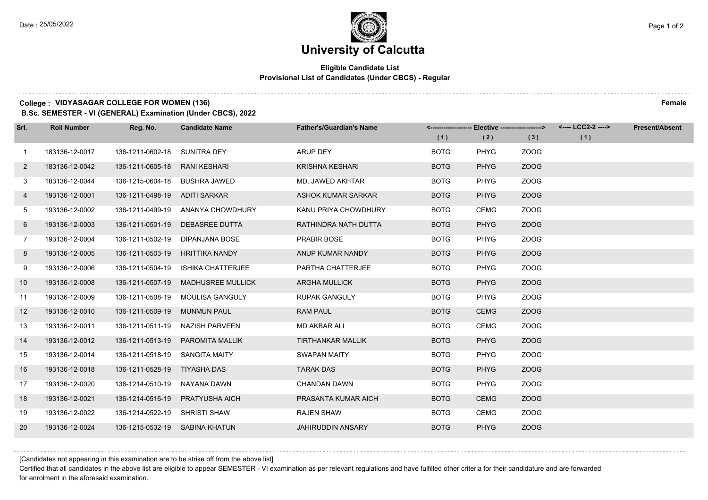. . . . .

### **University of Calcutta**

#### **Eligible Candidate List Provisional List of Candidates (Under CBCS) - Regular**

#### **College : VIDYASAGAR COLLEGE FOR WOMEN (136) Female**

**B.Sc. SEMESTER - VI (GENERAL) Examination (Under CBCS), 2022**

| Srl.           | <b>Roll Number</b> | Reg. No.                       | <b>Candidate Name</b>    | <b>Father's/Guardian's Name</b> |             | <------------------- Elective -------------------> |      | <---- LCC2-2 ----> | <b>Present/Absent</b> |
|----------------|--------------------|--------------------------------|--------------------------|---------------------------------|-------------|----------------------------------------------------|------|--------------------|-----------------------|
|                |                    |                                |                          |                                 | (1)         | (2)                                                | (3)  | (1)                |                       |
| $\overline{1}$ | 183136-12-0017     | 136-1211-0602-18               | <b>SUNITRA DEY</b>       | <b>ARUP DEY</b>                 | <b>BOTG</b> | <b>PHYG</b>                                        | ZOOG |                    |                       |
| $\mathbf{2}$   | 183136-12-0042     | 136-1211-0605-18               | <b>RANI KESHARI</b>      | <b>KRISHNA KESHARI</b>          | <b>BOTG</b> | <b>PHYG</b>                                        | ZOOG |                    |                       |
| 3              | 183136-12-0044     | 136-1215-0604-18               | <b>BUSHRA JAWED</b>      | MD. JAWED AKHTAR                | <b>BOTG</b> | <b>PHYG</b>                                        | ZOOG |                    |                       |
| 4              | 193136-12-0001     | 136-1211-0498-19               | ADITI SARKAR             | ASHOK KUMAR SARKAR              | <b>BOTG</b> | <b>PHYG</b>                                        | ZOOG |                    |                       |
| 5              | 193136-12-0002     | 136-1211-0499-19               | ANANYA CHOWDHURY         | KANU PRIYA CHOWDHURY            | <b>BOTG</b> | <b>CEMG</b>                                        | ZOOG |                    |                       |
| 6              | 193136-12-0003     | 136-1211-0501-19               | DEBASREE DUTTA           | RATHINDRA NATH DUTTA            | <b>BOTG</b> | <b>PHYG</b>                                        | ZOOG |                    |                       |
| $\overline{7}$ | 193136-12-0004     | 136-1211-0502-19               | DIPANJANA BOSE           | PRABIR BOSE                     | <b>BOTG</b> | <b>PHYG</b>                                        | ZOOG |                    |                       |
| 8              | 193136-12-0005     | 136-1211-0503-19               | <b>HRITTIKA NANDY</b>    | ANUP KUMAR NANDY                | <b>BOTG</b> | <b>PHYG</b>                                        | ZOOG |                    |                       |
| 9              | 193136-12-0006     | 136-1211-0504-19               | <b>ISHIKA CHATTERJEE</b> | PARTHA CHATTERJEE               | <b>BOTG</b> | <b>PHYG</b>                                        | ZOOG |                    |                       |
| 10             | 193136-12-0008     | 136-1211-0507-19               | <b>MADHUSREE MULLICK</b> | <b>ARGHA MULLICK</b>            | <b>BOTG</b> | <b>PHYG</b>                                        | ZOOG |                    |                       |
| 11             | 193136-12-0009     | 136-1211-0508-19               | MOULISA GANGULY          | <b>RUPAK GANGULY</b>            | <b>BOTG</b> | <b>PHYG</b>                                        | ZOOG |                    |                       |
| 12             | 193136-12-0010     | 136-1211-0509-19               | <b>MUNMUN PAUL</b>       | <b>RAM PAUL</b>                 | <b>BOTG</b> | <b>CEMG</b>                                        | ZOOG |                    |                       |
| 13             | 193136-12-0011     | 136-1211-0511-19               | NAZISH PARVEEN           | MD AKBAR ALI                    | <b>BOTG</b> | <b>CEMG</b>                                        | ZOOG |                    |                       |
| 14             | 193136-12-0012     | 136-1211-0513-19               | PAROMITA MALLIK          | <b>TIRTHANKAR MALLIK</b>        | <b>BOTG</b> | <b>PHYG</b>                                        | ZOOG |                    |                       |
| 15             | 193136-12-0014     | 136-1211-0518-19               | <b>SANGITA MAITY</b>     | <b>SWAPAN MAITY</b>             | <b>BOTG</b> | PHYG                                               | ZOOG |                    |                       |
| 16             | 193136-12-0018     | 136-1211-0528-19 TIYASHA DAS   |                          | <b>TARAK DAS</b>                | <b>BOTG</b> | <b>PHYG</b>                                        | ZOOG |                    |                       |
| 17             | 193136-12-0020     | 136-1214-0510-19               | NAYANA DAWN              | <b>CHANDAN DAWN</b>             | <b>BOTG</b> | PHYG                                               | ZOOG |                    |                       |
| 18             | 193136-12-0021     | 136-1214-0516-19               | <b>PRATYUSHA AICH</b>    | PRASANTA KUMAR AICH             | <b>BOTG</b> | <b>CEMG</b>                                        | ZOOG |                    |                       |
| 19             | 193136-12-0022     | 136-1214-0522-19               | <b>SHRISTI SHAW</b>      | <b>RAJEN SHAW</b>               | <b>BOTG</b> | <b>CEMG</b>                                        | ZOOG |                    |                       |
| 20             | 193136-12-0024     | 136-1215-0532-19 SABINA KHATUN |                          | <b>JAHIRUDDIN ANSARY</b>        | <b>BOTG</b> | <b>PHYG</b>                                        | ZOOG |                    |                       |

[Candidates not appearing in this examination are to be strike off from the above list]

Certified that all candidates in the above list are eligible to appear SEMESTER - VI examination as per relevant regulations and have fulfilled other criteria for their candidature and are forwarded for enrolment in the aforesaid examination.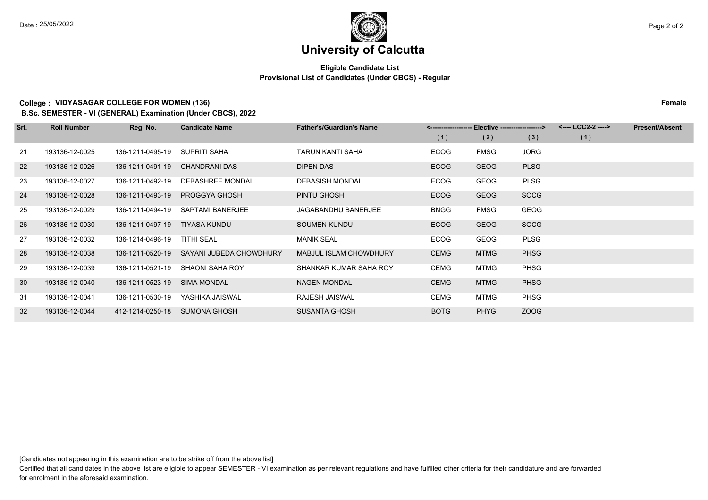#### **Eligible Candidate List Provisional List of Candidates (Under CBCS) - Regular**

#### **College : VIDYASAGAR COLLEGE FOR WOMEN (136) Female**

**B.Sc. SEMESTER - VI (GENERAL) Examination (Under CBCS), 2022**

| Srl. | <b>Roll Number</b> | Reg. No.         | <b>Candidate Name</b>   | <b>Father's/Guardian's Name</b> |             | <-------------------- Elective -------------------> |             | <---- LCC2-2 ----> | <b>Present/Absent</b> |
|------|--------------------|------------------|-------------------------|---------------------------------|-------------|-----------------------------------------------------|-------------|--------------------|-----------------------|
|      |                    |                  |                         |                                 | (1)         | (2)                                                 | (3)         | (1)                |                       |
| 21   | 193136-12-0025     | 136-1211-0495-19 | SUPRITI SAHA            | TARUN KANTI SAHA                | <b>ECOG</b> | <b>FMSG</b>                                         | <b>JORG</b> |                    |                       |
| 22   | 193136-12-0026     | 136-1211-0491-19 | <b>CHANDRANI DAS</b>    | <b>DIPEN DAS</b>                | <b>ECOG</b> | <b>GEOG</b>                                         | <b>PLSG</b> |                    |                       |
| 23   | 193136-12-0027     | 136-1211-0492-19 | DEBASHREE MONDAL        | <b>DEBASISH MONDAL</b>          | <b>ECOG</b> | <b>GEOG</b>                                         | <b>PLSG</b> |                    |                       |
| 24   | 193136-12-0028     | 136-1211-0493-19 | PROGGYA GHOSH           | PINTU GHOSH                     | <b>ECOG</b> | <b>GEOG</b>                                         | <b>SOCG</b> |                    |                       |
| 25   | 193136-12-0029     | 136-1211-0494-19 | SAPTAMI BANERJEE        | JAGABANDHU BANERJEE             | <b>BNGG</b> | FMSG                                                | <b>GEOG</b> |                    |                       |
| 26   | 193136-12-0030     | 136-1211-0497-19 | TIYASA KUNDU            | <b>SOUMEN KUNDU</b>             | <b>ECOG</b> | <b>GEOG</b>                                         | <b>SOCG</b> |                    |                       |
| 27   | 193136-12-0032     | 136-1214-0496-19 | TITHI SEAL              | <b>MANIK SEAL</b>               | <b>ECOG</b> | <b>GEOG</b>                                         | <b>PLSG</b> |                    |                       |
| 28   | 193136-12-0038     | 136-1211-0520-19 | SAYANI JUBEDA CHOWDHURY | MABJUL ISLAM CHOWDHURY          | <b>CEMG</b> | <b>MTMG</b>                                         | <b>PHSG</b> |                    |                       |
| 29   | 193136-12-0039     | 136-1211-0521-19 | SHAONI SAHA ROY         | SHANKAR KUMAR SAHA ROY          | <b>CEMG</b> | <b>MTMG</b>                                         | <b>PHSG</b> |                    |                       |
| 30   | 193136-12-0040     | 136-1211-0523-19 | <b>SIMA MONDAL</b>      | <b>NAGEN MONDAL</b>             | <b>CEMG</b> | <b>MTMG</b>                                         | <b>PHSG</b> |                    |                       |
| 31   | 193136-12-0041     | 136-1211-0530-19 | YASHIKA JAISWAL         | <b>RAJESH JAISWAL</b>           | <b>CEMG</b> | <b>MTMG</b>                                         | <b>PHSG</b> |                    |                       |
| 32   | 193136-12-0044     | 412-1214-0250-18 | <b>SUMONA GHOSH</b>     | <b>SUSANTA GHOSH</b>            | <b>BOTG</b> | <b>PHYG</b>                                         | ZOOG        |                    |                       |

[Candidates not appearing in this examination are to be strike off from the above list]

Certified that all candidates in the above list are eligible to appear SEMESTER - VI examination as per relevant regulations and have fulfilled other criteria for their candidature and are forwarded for enrolment in the aforesaid examination.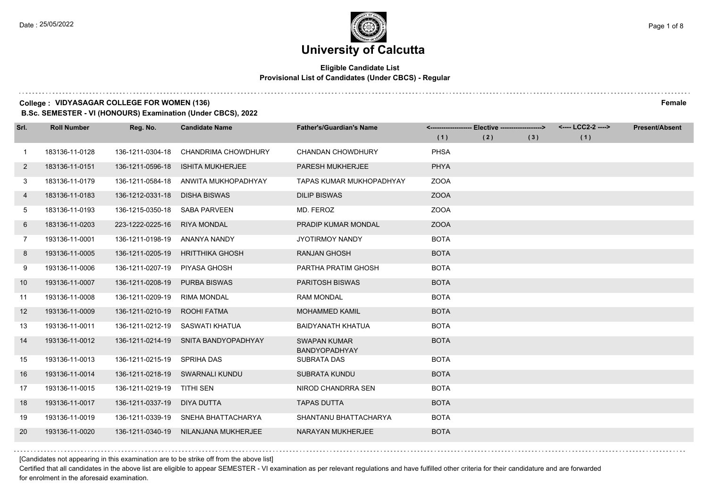#### **Eligible Candidate List Provisional List of Candidates (Under CBCS) - Regular**

#### **College : VIDYASAGAR COLLEGE FOR WOMEN (136) Female**

**B.Sc. SEMESTER - VI (HONOURS) Examination (Under CBCS), 2022**

| Srl.         | <b>Roll Number</b> | Reg. No.         | <b>Candidate Name</b>           | <b>Father's/Guardian's Name</b>             |             | <-------------------- Elective ------------------> |     | <---- LCC2-2 ----> | <b>Present/Absent</b> |
|--------------|--------------------|------------------|---------------------------------|---------------------------------------------|-------------|----------------------------------------------------|-----|--------------------|-----------------------|
|              |                    |                  |                                 |                                             | (1)         | (2)                                                | (3) | (1)                |                       |
| 1            | 183136-11-0128     | 136-1211-0304-18 | CHANDRIMA CHOWDHURY             | <b>CHANDAN CHOWDHURY</b>                    | <b>PHSA</b> |                                                    |     |                    |                       |
| $\mathbf{2}$ | 183136-11-0151     | 136-1211-0596-18 | <b>ISHITA MUKHERJEE</b>         | <b>PARESH MUKHERJEE</b>                     | <b>PHYA</b> |                                                    |     |                    |                       |
| 3            | 183136-11-0179     | 136-1211-0584-18 | ANWITA MUKHOPADHYAY             | TAPAS KUMAR MUKHOPADHYAY                    | <b>ZOOA</b> |                                                    |     |                    |                       |
| 4            | 183136-11-0183     | 136-1212-0331-18 | <b>DISHA BISWAS</b>             | <b>DILIP BISWAS</b>                         | <b>ZOOA</b> |                                                    |     |                    |                       |
| 5            | 183136-11-0193     | 136-1215-0350-18 | <b>SABA PARVEEN</b>             | MD. FEROZ                                   | <b>ZOOA</b> |                                                    |     |                    |                       |
| 6            | 183136-11-0203     | 223-1222-0225-16 | <b>RIYA MONDAL</b>              | PRADIP KUMAR MONDAL                         | <b>ZOOA</b> |                                                    |     |                    |                       |
| 7            | 193136-11-0001     | 136-1211-0198-19 | ANANYA NANDY                    | JYOTIRMOY NANDY                             | <b>BOTA</b> |                                                    |     |                    |                       |
| 8            | 193136-11-0005     | 136-1211-0205-19 | <b>HRITTHIKA GHOSH</b>          | <b>RANJAN GHOSH</b>                         | <b>BOTA</b> |                                                    |     |                    |                       |
| 9            | 193136-11-0006     | 136-1211-0207-19 | PIYASA GHOSH                    | PARTHA PRATIM GHOSH                         | <b>BOTA</b> |                                                    |     |                    |                       |
| 10           | 193136-11-0007     | 136-1211-0208-19 | <b>PURBA BISWAS</b>             | <b>PARITOSH BISWAS</b>                      | <b>BOTA</b> |                                                    |     |                    |                       |
| 11           | 193136-11-0008     | 136-1211-0209-19 | RIMA MONDAL                     | <b>RAM MONDAL</b>                           | <b>BOTA</b> |                                                    |     |                    |                       |
| 12           | 193136-11-0009     | 136-1211-0210-19 | ROOHI FATMA                     | <b>MOHAMMED KAMIL</b>                       | <b>BOTA</b> |                                                    |     |                    |                       |
| 13           | 193136-11-0011     | 136-1211-0212-19 | SASWATI KHATUA                  | <b>BAIDYANATH KHATUA</b>                    | <b>BOTA</b> |                                                    |     |                    |                       |
| 14           | 193136-11-0012     | 136-1211-0214-19 | SNITA BANDYOPADHYAY             | <b>SWAPAN KUMAR</b><br><b>BANDYOPADHYAY</b> | <b>BOTA</b> |                                                    |     |                    |                       |
| 15           | 193136-11-0013     | 136-1211-0215-19 | <b>SPRIHA DAS</b>               | <b>SUBRATA DAS</b>                          | <b>BOTA</b> |                                                    |     |                    |                       |
| 16           | 193136-11-0014     |                  | 136-1211-0218-19 SWARNALI KUNDU | <b>SUBRATA KUNDU</b>                        | <b>BOTA</b> |                                                    |     |                    |                       |
| 17           | 193136-11-0015     | 136-1211-0219-19 | <b>TITHI SEN</b>                | NIROD CHANDRRA SEN                          | <b>BOTA</b> |                                                    |     |                    |                       |
| 18           | 193136-11-0017     | 136-1211-0337-19 | DIYA DUTTA                      | <b>TAPAS DUTTA</b>                          | <b>BOTA</b> |                                                    |     |                    |                       |
| 19           | 193136-11-0019     | 136-1211-0339-19 | SNEHA BHATTACHARYA              | SHANTANU BHATTACHARYA                       | <b>BOTA</b> |                                                    |     |                    |                       |
| 20           | 193136-11-0020     | 136-1211-0340-19 | NILANJANA MUKHERJEE             | <b>NARAYAN MUKHERJEE</b>                    | <b>BOTA</b> |                                                    |     |                    |                       |

[Candidates not appearing in this examination are to be strike off from the above list]

Certified that all candidates in the above list are eligible to appear SEMESTER - VI examination as per relevant regulations and have fulfilled other criteria for their candidature and are forwarded for enrolment in the aforesaid examination.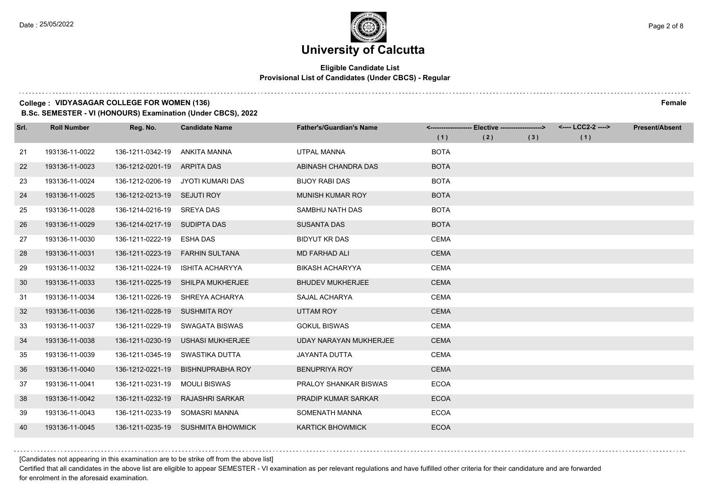#### **Eligible Candidate List Provisional List of Candidates (Under CBCS) - Regular**

#### **College : VIDYASAGAR COLLEGE FOR WOMEN (136) Female**

**B.Sc. SEMESTER - VI (HONOURS) Examination (Under CBCS), 2022**

| Srl. | <b>Roll Number</b> | Reg. No.                      | <b>Candidate Name</b>              | <b>Father's/Guardian's Name</b> |             | <------------------- Elective ------------------> |     | <---- LCC2-2 ----> | <b>Present/Absent</b> |
|------|--------------------|-------------------------------|------------------------------------|---------------------------------|-------------|---------------------------------------------------|-----|--------------------|-----------------------|
|      |                    |                               |                                    |                                 | (1)         | (2)                                               | (3) | (1)                |                       |
| 21   | 193136-11-0022     | 136-1211-0342-19              | ANKITA MANNA                       | <b>UTPAL MANNA</b>              | <b>BOTA</b> |                                                   |     |                    |                       |
| 22   | 193136-11-0023     | 136-1212-0201-19              | ARPITA DAS                         | ABINASH CHANDRA DAS             | <b>BOTA</b> |                                                   |     |                    |                       |
| 23   | 193136-11-0024     | 136-1212-0206-19              | JYOTI KUMARI DAS                   | <b>BIJOY RABI DAS</b>           | <b>BOTA</b> |                                                   |     |                    |                       |
| 24   | 193136-11-0025     | 136-1212-0213-19 SEJUTI ROY   |                                    | <b>MUNISH KUMAR ROY</b>         | <b>BOTA</b> |                                                   |     |                    |                       |
| 25   | 193136-11-0028     | 136-1214-0216-19              | SREYA DAS                          | SAMBHU NATH DAS                 | <b>BOTA</b> |                                                   |     |                    |                       |
| 26   | 193136-11-0029     | 136-1214-0217-19              | SUDIPTA DAS                        | <b>SUSANTA DAS</b>              | <b>BOTA</b> |                                                   |     |                    |                       |
| 27   | 193136-11-0030     | 136-1211-0222-19              | ESHA DAS                           | <b>BIDYUT KR DAS</b>            | <b>CEMA</b> |                                                   |     |                    |                       |
| 28   | 193136-11-0031     | 136-1211-0223-19              | <b>FARHIN SULTANA</b>              | <b>MD FARHAD ALI</b>            | <b>CEMA</b> |                                                   |     |                    |                       |
| 29   | 193136-11-0032     | 136-1211-0224-19              | ISHITA ACHARYYA                    | <b>BIKASH ACHARYYA</b>          | <b>CEMA</b> |                                                   |     |                    |                       |
| 30   | 193136-11-0033     | 136-1211-0225-19              | <b>SHILPA MUKHERJEE</b>            | <b>BHUDEV MUKHERJEE</b>         | <b>CEMA</b> |                                                   |     |                    |                       |
| 31   | 193136-11-0034     | 136-1211-0226-19              | SHREYA ACHARYA                     | SAJAL ACHARYA                   | <b>CEMA</b> |                                                   |     |                    |                       |
| 32   | 193136-11-0036     | 136-1211-0228-19 SUSHMITA ROY |                                    | UTTAM ROY                       | <b>CEMA</b> |                                                   |     |                    |                       |
| 33   | 193136-11-0037     | 136-1211-0229-19              | SWAGATA BISWAS                     | <b>GOKUL BISWAS</b>             | <b>CEMA</b> |                                                   |     |                    |                       |
| 34   | 193136-11-0038     | 136-1211-0230-19              | <b>USHASI MUKHERJEE</b>            | <b>UDAY NARAYAN MUKHERJEE</b>   | <b>CEMA</b> |                                                   |     |                    |                       |
| 35   | 193136-11-0039     | 136-1211-0345-19              | SWASTIKA DUTTA                     | JAYANTA DUTTA                   | <b>CEMA</b> |                                                   |     |                    |                       |
| 36   | 193136-11-0040     | 136-1212-0221-19              | <b>BISHNUPRABHA ROY</b>            | <b>BENUPRIYA ROY</b>            | <b>CEMA</b> |                                                   |     |                    |                       |
| 37   | 193136-11-0041     | 136-1211-0231-19              | <b>MOULI BISWAS</b>                | PRALOY SHANKAR BISWAS           | <b>ECOA</b> |                                                   |     |                    |                       |
| 38   | 193136-11-0042     | 136-1211-0232-19              | <b>RAJASHRI SARKAR</b>             | <b>PRADIP KUMAR SARKAR</b>      | <b>ECOA</b> |                                                   |     |                    |                       |
| 39   | 193136-11-0043     | 136-1211-0233-19              | SOMASRI MANNA                      | SOMENATH MANNA                  | <b>ECOA</b> |                                                   |     |                    |                       |
| 40   | 193136-11-0045     |                               | 136-1211-0235-19 SUSHMITA BHOWMICK | <b>KARTICK BHOWMICK</b>         | <b>ECOA</b> |                                                   |     |                    |                       |

[Candidates not appearing in this examination are to be strike off from the above list]

Certified that all candidates in the above list are eligible to appear SEMESTER - VI examination as per relevant regulations and have fulfilled other criteria for their candidature and are forwarded for enrolment in the aforesaid examination.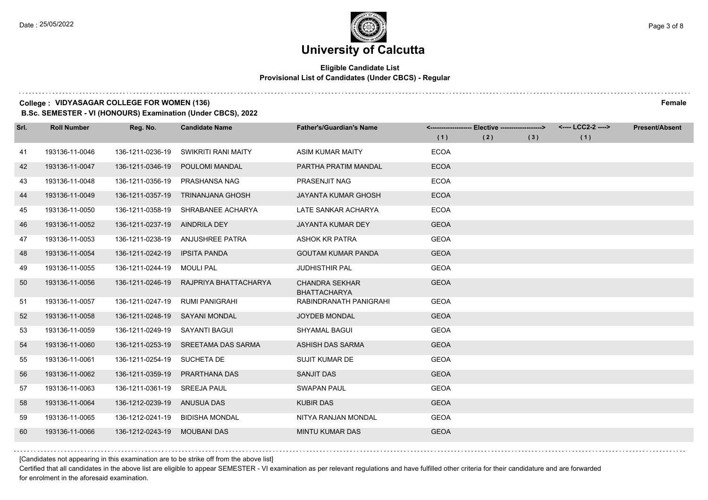#### **Eligible Candidate List Provisional List of Candidates (Under CBCS) - Regular**

#### **College : VIDYASAGAR COLLEGE FOR WOMEN (136) Female**

**B.Sc. SEMESTER - VI (HONOURS) Examination (Under CBCS), 2022**

| Srl. | <b>Roll Number</b> | Reg. No.                       | <b>Candidate Name</b>   | <b>Father's/Guardian's Name</b>              |             | <------------------- Elective ------------------> |     | <---- LCC2-2 ----> | <b>Present/Absent</b> |
|------|--------------------|--------------------------------|-------------------------|----------------------------------------------|-------------|---------------------------------------------------|-----|--------------------|-----------------------|
|      |                    |                                |                         |                                              | (1)         | (2)                                               | (3) | (1)                |                       |
| 41   | 193136-11-0046     | 136-1211-0236-19               | SWIKRITI RANI MAITY     | <b>ASIM KUMAR MAITY</b>                      | <b>ECOA</b> |                                                   |     |                    |                       |
| 42   | 193136-11-0047     | 136-1211-0346-19               | POULOMI MANDAL          | PARTHA PRATIM MANDAL                         | <b>ECOA</b> |                                                   |     |                    |                       |
| 43   | 193136-11-0048     | 136-1211-0356-19               | PRASHANSA NAG           | PRASENJIT NAG                                | <b>ECOA</b> |                                                   |     |                    |                       |
| 44   | 193136-11-0049     | 136-1211-0357-19               | <b>TRINANJANA GHOSH</b> | <b>JAYANTA KUMAR GHOSH</b>                   | <b>ECOA</b> |                                                   |     |                    |                       |
| 45   | 193136-11-0050     | 136-1211-0358-19               | SHRABANEE ACHARYA       | LATE SANKAR ACHARYA                          | <b>ECOA</b> |                                                   |     |                    |                       |
| 46   | 193136-11-0052     | 136-1211-0237-19               | AINDRILA DEY            | <b>JAYANTA KUMAR DEY</b>                     | <b>GEOA</b> |                                                   |     |                    |                       |
| 47   | 193136-11-0053     | 136-1211-0238-19               | ANJUSHREE PATRA         | <b>ASHOK KR PATRA</b>                        | <b>GEOA</b> |                                                   |     |                    |                       |
| 48   | 193136-11-0054     | 136-1211-0242-19               | <b>IPSITA PANDA</b>     | <b>GOUTAM KUMAR PANDA</b>                    | <b>GEOA</b> |                                                   |     |                    |                       |
| 49   | 193136-11-0055     | 136-1211-0244-19               | <b>MOULI PAL</b>        | <b>JUDHISTHIR PAL</b>                        | <b>GEOA</b> |                                                   |     |                    |                       |
| 50   | 193136-11-0056     | 136-1211-0246-19               | RAJPRIYA BHATTACHARYA   | <b>CHANDRA SEKHAR</b><br><b>BHATTACHARYA</b> | <b>GEOA</b> |                                                   |     |                    |                       |
| -51  | 193136-11-0057     | 136-1211-0247-19               | RUMI PANIGRAHI          | RABINDRANATH PANIGRAHI                       | <b>GEOA</b> |                                                   |     |                    |                       |
| 52   | 193136-11-0058     | 136-1211-0248-19 SAYANI MONDAL |                         | <b>JOYDEB MONDAL</b>                         | <b>GEOA</b> |                                                   |     |                    |                       |
| 53   | 193136-11-0059     | 136-1211-0249-19               | SAYANTI BAGUI           | <b>SHYAMAL BAGUI</b>                         | <b>GEOA</b> |                                                   |     |                    |                       |
| 54   | 193136-11-0060     | 136-1211-0253-19               | SREETAMA DAS SARMA      | ASHISH DAS SARMA                             | <b>GEOA</b> |                                                   |     |                    |                       |
| 55   | 193136-11-0061     | 136-1211-0254-19 SUCHETA DE    |                         | <b>SUJIT KUMAR DE</b>                        | <b>GEOA</b> |                                                   |     |                    |                       |
| 56   | 193136-11-0062     | 136-1211-0359-19               | PRARTHANA DAS           | SANJIT DAS                                   | <b>GEOA</b> |                                                   |     |                    |                       |
| 57   | 193136-11-0063     | 136-1211-0361-19 SREEJA PAUL   |                         | <b>SWAPAN PAUL</b>                           | <b>GEOA</b> |                                                   |     |                    |                       |
| 58   | 193136-11-0064     | 136-1212-0239-19               | <b>ANUSUA DAS</b>       | <b>KUBIR DAS</b>                             | <b>GEOA</b> |                                                   |     |                    |                       |
| 59   | 193136-11-0065     | 136-1212-0241-19               | <b>BIDISHA MONDAL</b>   | NITYA RANJAN MONDAL                          | <b>GEOA</b> |                                                   |     |                    |                       |
| 60   | 193136-11-0066     | 136-1212-0243-19               | <b>MOUBANI DAS</b>      | <b>MINTU KUMAR DAS</b>                       | <b>GEOA</b> |                                                   |     |                    |                       |

[Candidates not appearing in this examination are to be strike off from the above list]

Certified that all candidates in the above list are eligible to appear SEMESTER - VI examination as per relevant regulations and have fulfilled other criteria for their candidature and are forwarded for enrolment in the aforesaid examination.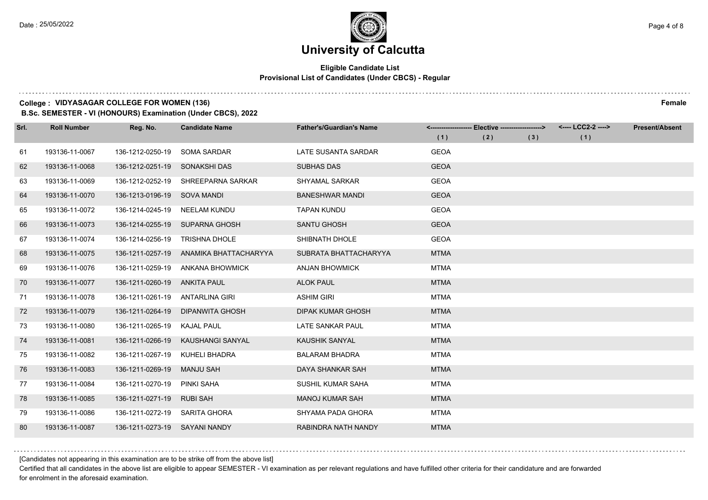#### **Eligible Candidate List Provisional List of Candidates (Under CBCS) - Regular**

#### **College : VIDYASAGAR COLLEGE FOR WOMEN (136) Female**

**B.Sc. SEMESTER - VI (HONOURS) Examination (Under CBCS), 2022**

| Srl. | <b>Roll Number</b> | Reg. No.                        | <b>Candidate Name</b>  | <b>Father's/Guardian's Name</b> |             | <-------------------- Elective ------------------> |     | <---- LCC2-2 ----> | <b>Present/Absent</b> |
|------|--------------------|---------------------------------|------------------------|---------------------------------|-------------|----------------------------------------------------|-----|--------------------|-----------------------|
|      |                    |                                 |                        |                                 | (1)         | (2)                                                | (3) | (1)                |                       |
| 61   | 193136-11-0067     | 136-1212-0250-19                | <b>SOMA SARDAR</b>     | LATE SUSANTA SARDAR             | <b>GEOA</b> |                                                    |     |                    |                       |
| 62   | 193136-11-0068     | 136-1212-0251-19                | SONAKSHI DAS           | <b>SUBHAS DAS</b>               | <b>GEOA</b> |                                                    |     |                    |                       |
| 63   | 193136-11-0069     | 136-1212-0252-19                | SHREEPARNA SARKAR      | <b>SHYAMAL SARKAR</b>           | <b>GEOA</b> |                                                    |     |                    |                       |
| 64   | 193136-11-0070     | 136-1213-0196-19 SOVA MANDI     |                        | <b>BANESHWAR MANDI</b>          | <b>GEOA</b> |                                                    |     |                    |                       |
| 65   | 193136-11-0072     | 136-1214-0245-19                | NEELAM KUNDU           | <b>TAPAN KUNDU</b>              | <b>GEOA</b> |                                                    |     |                    |                       |
| 66   | 193136-11-0073     | 136-1214-0255-19                | SUPARNA GHOSH          | <b>SANTU GHOSH</b>              | <b>GEOA</b> |                                                    |     |                    |                       |
| 67   | 193136-11-0074     | 136-1214-0256-19                | <b>TRISHNA DHOLE</b>   | SHIBNATH DHOLE                  | <b>GEOA</b> |                                                    |     |                    |                       |
| 68   | 193136-11-0075     | 136-1211-0257-19                | ANAMIKA BHATTACHARYYA  | SUBRATA BHATTACHARYYA           | <b>MTMA</b> |                                                    |     |                    |                       |
| 69   | 193136-11-0076     | 136-1211-0259-19                | <b>ANKANA BHOWMICK</b> | <b>ANJAN BHOWMICK</b>           | <b>MTMA</b> |                                                    |     |                    |                       |
| 70   | 193136-11-0077     | 136-1211-0260-19                | ANKITA PAUL            | <b>ALOK PAUL</b>                | <b>MTMA</b> |                                                    |     |                    |                       |
| 71   | 193136-11-0078     | 136-1211-0261-19 ANTARLINA GIRI |                        | <b>ASHIM GIRI</b>               | <b>MTMA</b> |                                                    |     |                    |                       |
| 72   | 193136-11-0079     | 136-1211-0264-19                | <b>DIPANWITA GHOSH</b> | <b>DIPAK KUMAR GHOSH</b>        | <b>MTMA</b> |                                                    |     |                    |                       |
| 73   | 193136-11-0080     | 136-1211-0265-19                | <b>KAJAL PAUL</b>      | LATE SANKAR PAUL                | <b>MTMA</b> |                                                    |     |                    |                       |
| 74   | 193136-11-0081     | 136-1211-0266-19                | KAUSHANGI SANYAL       | <b>KAUSHIK SANYAL</b>           | <b>MTMA</b> |                                                    |     |                    |                       |
| 75   | 193136-11-0082     | 136-1211-0267-19                | KUHELI BHADRA          | <b>BALARAM BHADRA</b>           | <b>MTMA</b> |                                                    |     |                    |                       |
| 76   | 193136-11-0083     | 136-1211-0269-19                | <b>MANJU SAH</b>       | DAYA SHANKAR SAH                | <b>MTMA</b> |                                                    |     |                    |                       |
| 77   | 193136-11-0084     | 136-1211-0270-19                | PINKI SAHA             | SUSHIL KUMAR SAHA               | <b>MTMA</b> |                                                    |     |                    |                       |
| 78   | 193136-11-0085     | 136-1211-0271-19                | <b>RUBI SAH</b>        | <b>MANOJ KUMAR SAH</b>          | <b>MTMA</b> |                                                    |     |                    |                       |
| 79   | 193136-11-0086     | 136-1211-0272-19                | SARITA GHORA           | SHYAMA PADA GHORA               | <b>MTMA</b> |                                                    |     |                    |                       |
| 80   | 193136-11-0087     | 136-1211-0273-19 SAYANI NANDY   |                        | RABINDRA NATH NANDY             | <b>MTMA</b> |                                                    |     |                    |                       |

[Candidates not appearing in this examination are to be strike off from the above list]

Certified that all candidates in the above list are eligible to appear SEMESTER - VI examination as per relevant regulations and have fulfilled other criteria for their candidature and are forwarded for enrolment in the aforesaid examination.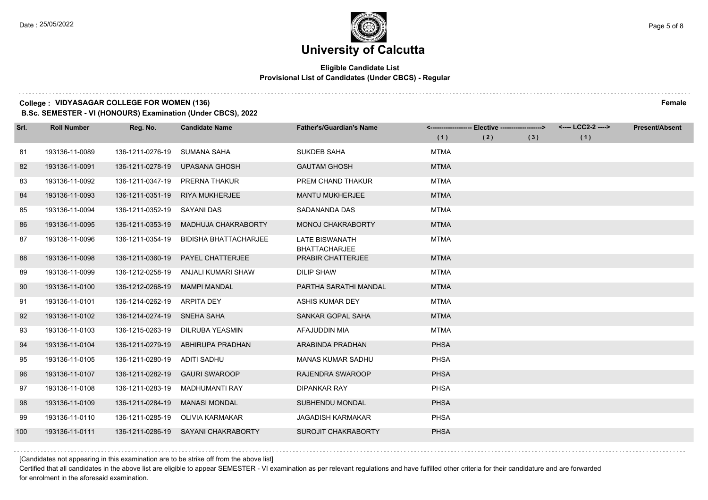#### **Eligible Candidate List Provisional List of Candidates (Under CBCS) - Regular**

#### **College : VIDYASAGAR COLLEGE FOR WOMEN (136) Female**

**B.Sc. SEMESTER - VI (HONOURS) Examination (Under CBCS), 2022**

| Srl. | <b>Roll Number</b> | Reg. No.                    | <b>Candidate Name</b>               | <b>Father's/Guardian's Name</b>               |             | <------------------- Elective ------------------> |     | <---- LCC2-2 ----> | <b>Present/Absent</b> |
|------|--------------------|-----------------------------|-------------------------------------|-----------------------------------------------|-------------|---------------------------------------------------|-----|--------------------|-----------------------|
|      |                    |                             |                                     |                                               | (1)         | (2)                                               | (3) | (1)                |                       |
| 81   | 193136-11-0089     | 136-1211-0276-19            | SUMANA SAHA                         | <b>SUKDEB SAHA</b>                            | <b>MTMA</b> |                                                   |     |                    |                       |
| 82   | 193136-11-0091     | 136-1211-0278-19            | <b>UPASANA GHOSH</b>                | <b>GAUTAM GHOSH</b>                           | <b>MTMA</b> |                                                   |     |                    |                       |
| 83   | 193136-11-0092     | 136-1211-0347-19            | PRERNA THAKUR                       | PREM CHAND THAKUR                             | <b>MTMA</b> |                                                   |     |                    |                       |
| 84   | 193136-11-0093     | 136-1211-0351-19            | <b>RIYA MUKHERJEE</b>               | <b>MANTU MUKHERJEE</b>                        | <b>MTMA</b> |                                                   |     |                    |                       |
| 85   | 193136-11-0094     | 136-1211-0352-19            | <b>SAYANI DAS</b>                   | SADANANDA DAS                                 | <b>MTMA</b> |                                                   |     |                    |                       |
| 86   | 193136-11-0095     | 136-1211-0353-19            | MADHUJA CHAKRABORTY                 | <b>MONOJ CHAKRABORTY</b>                      | <b>MTMA</b> |                                                   |     |                    |                       |
| 87   | 193136-11-0096     | 136-1211-0354-19            | <b>BIDISHA BHATTACHARJEE</b>        | <b>LATE BISWANATH</b><br><b>BHATTACHARJEE</b> | <b>MTMA</b> |                                                   |     |                    |                       |
| 88   | 193136-11-0098     | 136-1211-0360-19            | <b>PAYEL CHATTERJEE</b>             | <b>PRABIR CHATTERJEE</b>                      | <b>MTMA</b> |                                                   |     |                    |                       |
| 89   | 193136-11-0099     | 136-1212-0258-19            | ANJALI KUMARI SHAW                  | <b>DILIP SHAW</b>                             | <b>MTMA</b> |                                                   |     |                    |                       |
| 90   | 193136-11-0100     | 136-1212-0268-19            | <b>MAMPI MANDAL</b>                 | PARTHA SARATHI MANDAL                         | <b>MTMA</b> |                                                   |     |                    |                       |
| 91   | 193136-11-0101     | 136-1214-0262-19            | ARPITA DEY                          | <b>ASHIS KUMAR DEY</b>                        | <b>MTMA</b> |                                                   |     |                    |                       |
| 92   | 193136-11-0102     | 136-1214-0274-19 SNEHA SAHA |                                     | SANKAR GOPAL SAHA                             | <b>MTMA</b> |                                                   |     |                    |                       |
| 93   | 193136-11-0103     | 136-1215-0263-19            | DILRUBA YEASMIN                     | AFAJUDDIN MIA                                 | <b>MTMA</b> |                                                   |     |                    |                       |
| 94   | 193136-11-0104     | 136-1211-0279-19            | ABHIRUPA PRADHAN                    | ARABINDA PRADHAN                              | <b>PHSA</b> |                                                   |     |                    |                       |
| 95   | 193136-11-0105     | 136-1211-0280-19            | ADITI SADHU                         | <b>MANAS KUMAR SADHU</b>                      | <b>PHSA</b> |                                                   |     |                    |                       |
| 96   | 193136-11-0107     | 136-1211-0282-19            | <b>GAURI SWAROOP</b>                | RAJENDRA SWAROOP                              | <b>PHSA</b> |                                                   |     |                    |                       |
| 97   | 193136-11-0108     | 136-1211-0283-19            | MADHUMANTI RAY                      | <b>DIPANKAR RAY</b>                           | <b>PHSA</b> |                                                   |     |                    |                       |
| 98   | 193136-11-0109     | 136-1211-0284-19            | <b>MANASI MONDAL</b>                | SUBHENDU MONDAL                               | <b>PHSA</b> |                                                   |     |                    |                       |
| 99   | 193136-11-0110     | 136-1211-0285-19            | <b>OLIVIA KARMAKAR</b>              | <b>JAGADISH KARMAKAR</b>                      | <b>PHSA</b> |                                                   |     |                    |                       |
| 100  | 193136-11-0111     |                             | 136-1211-0286-19 SAYANI CHAKRABORTY | <b>SUROJIT CHAKRABORTY</b>                    | <b>PHSA</b> |                                                   |     |                    |                       |

[Candidates not appearing in this examination are to be strike off from the above list]

Certified that all candidates in the above list are eligible to appear SEMESTER - VI examination as per relevant regulations and have fulfilled other criteria for their candidature and are forwarded for enrolment in the aforesaid examination.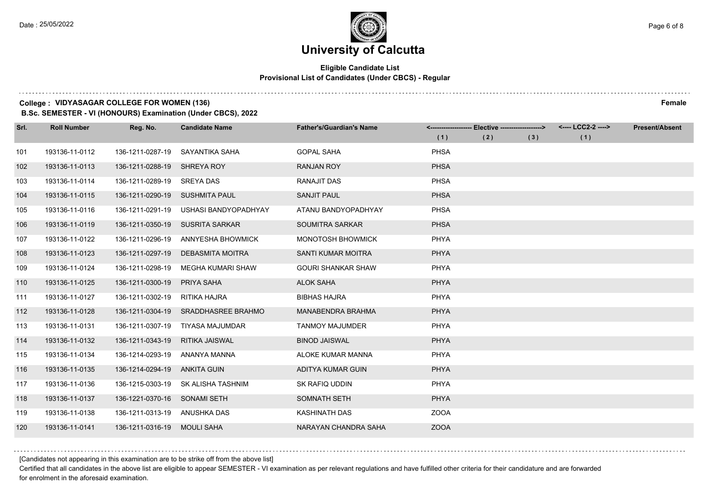#### **Eligible Candidate List Provisional List of Candidates (Under CBCS) - Regular**

#### **College : VIDYASAGAR COLLEGE FOR WOMEN (136) Female**

**B.Sc. SEMESTER - VI (HONOURS) Examination (Under CBCS), 2022**

| Srl. | <b>Roll Number</b> | Reg. No.                     | <b>Candidate Name</b>     | <b>Father's/Guardian's Name</b> |             | <------------------- Elective ------------------> |     | <---- LCC2-2 ----> | <b>Present/Absent</b> |
|------|--------------------|------------------------------|---------------------------|---------------------------------|-------------|---------------------------------------------------|-----|--------------------|-----------------------|
|      |                    |                              |                           |                                 | (1)         | (2)                                               | (3) | (1)                |                       |
| 101  | 193136-11-0112     | 136-1211-0287-19             | SAYANTIKA SAHA            | <b>GOPAL SAHA</b>               | <b>PHSA</b> |                                                   |     |                    |                       |
| 102  | 193136-11-0113     | 136-1211-0288-19             | <b>SHREYA ROY</b>         | <b>RANJAN ROY</b>               | <b>PHSA</b> |                                                   |     |                    |                       |
| 103  | 193136-11-0114     | 136-1211-0289-19             | SREYA DAS                 | <b>RANAJIT DAS</b>              | <b>PHSA</b> |                                                   |     |                    |                       |
| 104  | 193136-11-0115     | 136-1211-0290-19             | SUSHMITA PAUL             | <b>SANJIT PAUL</b>              | <b>PHSA</b> |                                                   |     |                    |                       |
| 105  | 193136-11-0116     | 136-1211-0291-19             | USHASI BANDYOPADHYAY      | ATANU BANDYOPADHYAY             | <b>PHSA</b> |                                                   |     |                    |                       |
| 106  | 193136-11-0119     | 136-1211-0350-19             | <b>SUSRITA SARKAR</b>     | <b>SOUMITRA SARKAR</b>          | <b>PHSA</b> |                                                   |     |                    |                       |
| 107  | 193136-11-0122     | 136-1211-0296-19             | ANNYESHA BHOWMICK         | MONOTOSH BHOWMICK               | <b>PHYA</b> |                                                   |     |                    |                       |
| 108  | 193136-11-0123     | 136-1211-0297-19             | DEBASMITA MOITRA          | <b>SANTI KUMAR MOITRA</b>       | <b>PHYA</b> |                                                   |     |                    |                       |
| 109  | 193136-11-0124     | 136-1211-0298-19             | <b>MEGHA KUMARI SHAW</b>  | <b>GOURI SHANKAR SHAW</b>       | PHYA        |                                                   |     |                    |                       |
| 110  | 193136-11-0125     | 136-1211-0300-19             | PRIYA SAHA                | <b>ALOK SAHA</b>                | <b>PHYA</b> |                                                   |     |                    |                       |
| 111  | 193136-11-0127     | 136-1211-0302-19             | RITIKA HAJRA              | <b>BIBHAS HAJRA</b>             | <b>PHYA</b> |                                                   |     |                    |                       |
| 112  | 193136-11-0128     | 136-1211-0304-19             | <b>SRADDHASREE BRAHMO</b> | <b>MANABENDRA BRAHMA</b>        | <b>PHYA</b> |                                                   |     |                    |                       |
| 113  | 193136-11-0131     | 136-1211-0307-19             | TIYASA MAJUMDAR           | <b>TANMOY MAJUMDER</b>          | PHYA        |                                                   |     |                    |                       |
| 114  | 193136-11-0132     | 136-1211-0343-19             | <b>RITIKA JAISWAL</b>     | <b>BINOD JAISWAL</b>            | <b>PHYA</b> |                                                   |     |                    |                       |
| 115  | 193136-11-0134     | 136-1214-0293-19             | ANANYA MANNA              | ALOKE KUMAR MANNA               | <b>PHYA</b> |                                                   |     |                    |                       |
| 116  | 193136-11-0135     | 136-1214-0294-19             | ANKITA GUIN               | ADITYA KUMAR GUIN               | <b>PHYA</b> |                                                   |     |                    |                       |
| 117  | 193136-11-0136     | 136-1215-0303-19             | <b>SK ALISHA TASHNIM</b>  | SK RAFIQ UDDIN                  | <b>PHYA</b> |                                                   |     |                    |                       |
| 118  | 193136-11-0137     | 136-1221-0370-16             | SONAMI SETH               | <b>SOMNATH SETH</b>             | <b>PHYA</b> |                                                   |     |                    |                       |
| 119  | 193136-11-0138     | 136-1211-0313-19 ANUSHKA DAS |                           | KASHINATH DAS                   | <b>ZOOA</b> |                                                   |     |                    |                       |
| 120  | 193136-11-0141     | 136-1211-0316-19 MOULI SAHA  |                           | NARAYAN CHANDRA SAHA            | <b>ZOOA</b> |                                                   |     |                    |                       |

[Candidates not appearing in this examination are to be strike off from the above list]

Certified that all candidates in the above list are eligible to appear SEMESTER - VI examination as per relevant regulations and have fulfilled other criteria for their candidature and are forwarded for enrolment in the aforesaid examination.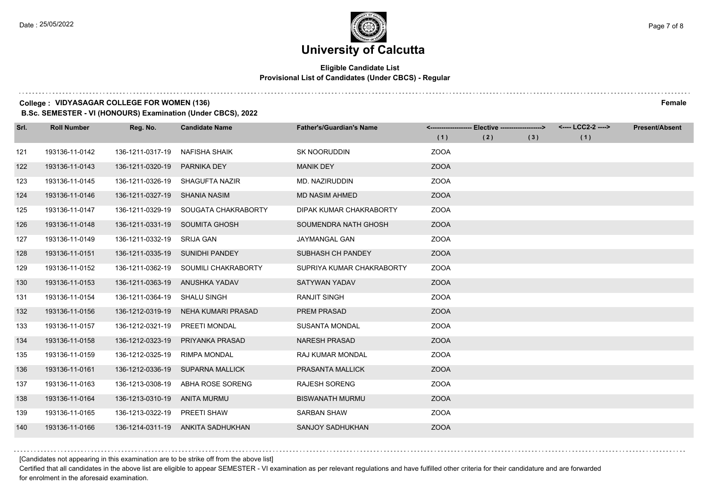#### **Eligible Candidate List Provisional List of Candidates (Under CBCS) - Regular**

#### **College : VIDYASAGAR COLLEGE FOR WOMEN (136) Female**

**B.Sc. SEMESTER - VI (HONOURS) Examination (Under CBCS), 2022**

| Srl. | <b>Roll Number</b> | Reg. No.         | <b>Candidate Name</b>  | <b>Father's/Guardian's Name</b> |             | <------------------- Elective ------------------> |     | <---- LCC2-2 ----> | <b>Present/Absent</b> |
|------|--------------------|------------------|------------------------|---------------------------------|-------------|---------------------------------------------------|-----|--------------------|-----------------------|
|      |                    |                  |                        |                                 | (1)         | (2)                                               | (3) | (1)                |                       |
| 121  | 193136-11-0142     | 136-1211-0317-19 | NAFISHA SHAIK          | <b>SK NOORUDDIN</b>             | <b>ZOOA</b> |                                                   |     |                    |                       |
| 122  | 193136-11-0143     | 136-1211-0320-19 | <b>PARNIKA DEY</b>     | <b>MANIK DEY</b>                | <b>ZOOA</b> |                                                   |     |                    |                       |
| 123  | 193136-11-0145     | 136-1211-0326-19 | SHAGUFTA NAZIR         | MD. NAZIRUDDIN                  | <b>ZOOA</b> |                                                   |     |                    |                       |
| 124  | 193136-11-0146     | 136-1211-0327-19 | SHANIA NASIM           | <b>MD NASIM AHMED</b>           | <b>ZOOA</b> |                                                   |     |                    |                       |
| 125  | 193136-11-0147     | 136-1211-0329-19 | SOUGATA CHAKRABORTY    | DIPAK KUMAR CHAKRABORTY         | <b>ZOOA</b> |                                                   |     |                    |                       |
| 126  | 193136-11-0148     | 136-1211-0331-19 | <b>SOUMITA GHOSH</b>   | SOUMENDRA NATH GHOSH            | <b>ZOOA</b> |                                                   |     |                    |                       |
| 127  | 193136-11-0149     | 136-1211-0332-19 | SRIJA GAN              | JAYMANGAL GAN                   | <b>ZOOA</b> |                                                   |     |                    |                       |
| 128  | 193136-11-0151     | 136-1211-0335-19 | SUNIDHI PANDEY         | SUBHASH CH PANDEY               | <b>ZOOA</b> |                                                   |     |                    |                       |
| 129  | 193136-11-0152     | 136-1211-0362-19 | SOUMILI CHAKRABORTY    | SUPRIYA KUMAR CHAKRABORTY       | <b>ZOOA</b> |                                                   |     |                    |                       |
| 130  | 193136-11-0153     | 136-1211-0363-19 | ANUSHKA YADAV          | <b>SATYWAN YADAV</b>            | <b>ZOOA</b> |                                                   |     |                    |                       |
| 131  | 193136-11-0154     | 136-1211-0364-19 | <b>SHALU SINGH</b>     | <b>RANJIT SINGH</b>             | <b>ZOOA</b> |                                                   |     |                    |                       |
| 132  | 193136-11-0156     | 136-1212-0319-19 | NEHA KUMARI PRASAD     | <b>PREM PRASAD</b>              | <b>ZOOA</b> |                                                   |     |                    |                       |
| 133  | 193136-11-0157     | 136-1212-0321-19 | PREETI MONDAL          | <b>SUSANTA MONDAL</b>           | <b>ZOOA</b> |                                                   |     |                    |                       |
| 134  | 193136-11-0158     | 136-1212-0323-19 | PRIYANKA PRASAD        | <b>NARESH PRASAD</b>            | <b>ZOOA</b> |                                                   |     |                    |                       |
| 135  | 193136-11-0159     | 136-1212-0325-19 | <b>RIMPA MONDAL</b>    | RAJ KUMAR MONDAL                | <b>ZOOA</b> |                                                   |     |                    |                       |
| 136  | 193136-11-0161     | 136-1212-0336-19 | <b>SUPARNA MALLICK</b> | PRASANTA MALLICK                | <b>ZOOA</b> |                                                   |     |                    |                       |
| 137  | 193136-11-0163     | 136-1213-0308-19 | ABHA ROSE SORENG       | <b>RAJESH SORENG</b>            | <b>ZOOA</b> |                                                   |     |                    |                       |
| 138  | 193136-11-0164     | 136-1213-0310-19 | ANITA MURMU            | <b>BISWANATH MURMU</b>          | <b>ZOOA</b> |                                                   |     |                    |                       |
| 139  | 193136-11-0165     | 136-1213-0322-19 | PREETI SHAW            | <b>SARBAN SHAW</b>              | <b>ZOOA</b> |                                                   |     |                    |                       |
| 140  | 193136-11-0166     | 136-1214-0311-19 | ANKITA SADHUKHAN       | SANJOY SADHUKHAN                | <b>ZOOA</b> |                                                   |     |                    |                       |

[Candidates not appearing in this examination are to be strike off from the above list]

Certified that all candidates in the above list are eligible to appear SEMESTER - VI examination as per relevant regulations and have fulfilled other criteria for their candidature and are forwarded for enrolment in the aforesaid examination.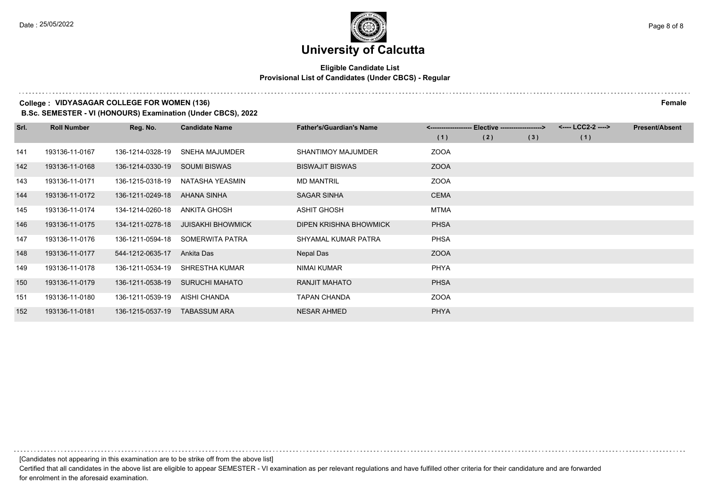#### **Eligible Candidate List Provisional List of Candidates (Under CBCS) - Regular**

#### **College : VIDYASAGAR COLLEGE FOR WOMEN (136) Female**

**B.Sc. SEMESTER - VI (HONOURS) Examination (Under CBCS), 2022**

| Srl. | <b>Roll Number</b> | Reg. No.         | <b>Candidate Name</b>    | <b>Father's/Guardian's Name</b> |             | <-------------------- Elective ------------------> |     | <---- LCC2-2 ----> | <b>Present/Absent</b> |
|------|--------------------|------------------|--------------------------|---------------------------------|-------------|----------------------------------------------------|-----|--------------------|-----------------------|
|      |                    |                  |                          |                                 | (1)         | (2)                                                | (3) | (1)                |                       |
| 141  | 193136-11-0167     | 136-1214-0328-19 | <b>SNEHA MAJUMDER</b>    | SHANTIMOY MAJUMDER              | <b>ZOOA</b> |                                                    |     |                    |                       |
| 142  | 193136-11-0168     | 136-1214-0330-19 | <b>SOUMI BISWAS</b>      | <b>BISWAJIT BISWAS</b>          | <b>ZOOA</b> |                                                    |     |                    |                       |
| 143  | 193136-11-0171     | 136-1215-0318-19 | NATASHA YEASMIN          | <b>MD MANTRIL</b>               | <b>ZOOA</b> |                                                    |     |                    |                       |
| 144  | 193136-11-0172     | 136-1211-0249-18 | AHANA SINHA              | <b>SAGAR SINHA</b>              | <b>CEMA</b> |                                                    |     |                    |                       |
| 145  | 193136-11-0174     | 134-1214-0260-18 | <b>ANKITA GHOSH</b>      | <b>ASHIT GHOSH</b>              | MTMA        |                                                    |     |                    |                       |
| 146  | 193136-11-0175     | 134-1211-0278-18 | <b>JUISAKHI BHOWMICK</b> | DIPEN KRISHNA BHOWMICK          | <b>PHSA</b> |                                                    |     |                    |                       |
| 147  | 193136-11-0176     | 136-1211-0594-18 | SOMERWITA PATRA          | SHYAMAL KUMAR PATRA             | <b>PHSA</b> |                                                    |     |                    |                       |
| 148  | 193136-11-0177     | 544-1212-0635-17 | Ankita Das               | Nepal Das                       | <b>ZOOA</b> |                                                    |     |                    |                       |
| 149  | 193136-11-0178     | 136-1211-0534-19 | SHRESTHA KUMAR           | NIMAI KUMAR                     | <b>PHYA</b> |                                                    |     |                    |                       |
| 150  | 193136-11-0179     | 136-1211-0538-19 | <b>SURUCHI MAHATO</b>    | <b>RANJIT MAHATO</b>            | <b>PHSA</b> |                                                    |     |                    |                       |
| 151  | 193136-11-0180     | 136-1211-0539-19 | AISHI CHANDA             | <b>TAPAN CHANDA</b>             | <b>ZOOA</b> |                                                    |     |                    |                       |
| 152  | 193136-11-0181     | 136-1215-0537-19 | <b>TABASSUM ARA</b>      | <b>NESAR AHMED</b>              | <b>PHYA</b> |                                                    |     |                    |                       |

[Candidates not appearing in this examination are to be strike off from the above list]

Certified that all candidates in the above list are eligible to appear SEMESTER - VI examination as per relevant regulations and have fulfilled other criteria for their candidature and are forwarded for enrolment in the aforesaid examination.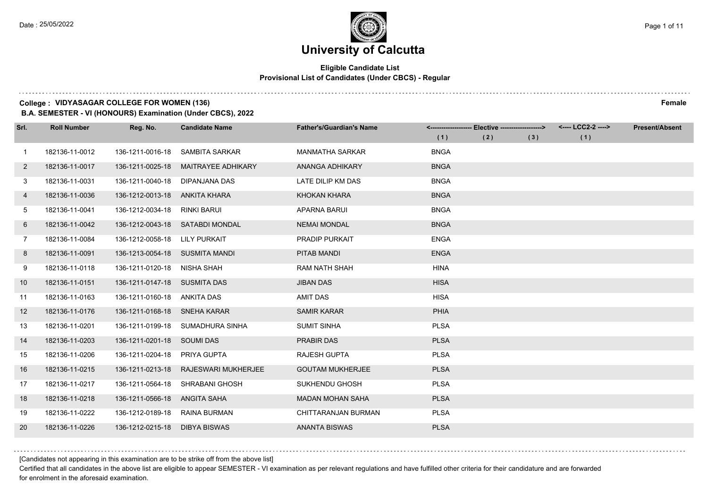### **University of Calcutta**

#### **Eligible Candidate List Provisional List of Candidates (Under CBCS) - Regular**

#### **College : VIDYASAGAR COLLEGE FOR WOMEN (136) Female**

**B.A. SEMESTER - VI (HONOURS) Examination (Under CBCS), 2022**

| Srl.         | <b>Roll Number</b> | Reg. No.                       | <b>Candidate Name</b>           | <b>Father's/Guardian's Name</b> |             | <------------------- Elective -------------------> |     | <---- LCC2-2 ----> | <b>Present/Absent</b> |
|--------------|--------------------|--------------------------------|---------------------------------|---------------------------------|-------------|----------------------------------------------------|-----|--------------------|-----------------------|
|              |                    |                                |                                 |                                 | (1)         | (2)                                                | (3) | (1)                |                       |
| $\mathbf{1}$ | 182136-11-0012     | 136-1211-0016-18               | SAMBITA SARKAR                  | <b>MANMATHA SARKAR</b>          | <b>BNGA</b> |                                                    |     |                    |                       |
| $\mathbf{2}$ | 182136-11-0017     | 136-1211-0025-18               | <b>MAITRAYEE ADHIKARY</b>       | ANANGA ADHIKARY                 | <b>BNGA</b> |                                                    |     |                    |                       |
| 3            | 182136-11-0031     | 136-1211-0040-18               | DIPANJANA DAS                   | LATE DILIP KM DAS               | <b>BNGA</b> |                                                    |     |                    |                       |
| 4            | 182136-11-0036     | 136-1212-0013-18 ANKITA KHARA  |                                 | <b>KHOKAN KHARA</b>             | <b>BNGA</b> |                                                    |     |                    |                       |
| 5            | 182136-11-0041     | 136-1212-0034-18               | RINKI BARUI                     | APARNA BARUI                    | <b>BNGA</b> |                                                    |     |                    |                       |
| 6            | 182136-11-0042     |                                | 136-1212-0043-18 SATABDI MONDAL | <b>NEMAI MONDAL</b>             | <b>BNGA</b> |                                                    |     |                    |                       |
| 7            | 182136-11-0084     | 136-1212-0058-18 LILY PURKAIT  |                                 | <b>PRADIP PURKAIT</b>           | <b>ENGA</b> |                                                    |     |                    |                       |
| 8            | 182136-11-0091     | 136-1213-0054-18 SUSMITA MANDI |                                 | PITAB MANDI                     | <b>ENGA</b> |                                                    |     |                    |                       |
| 9            | 182136-11-0118     | 136-1211-0120-18               | NISHA SHAH                      | <b>RAM NATH SHAH</b>            | <b>HINA</b> |                                                    |     |                    |                       |
| 10           | 182136-11-0151     | 136-1211-0147-18 SUSMITA DAS   |                                 | <b>JIBAN DAS</b>                | <b>HISA</b> |                                                    |     |                    |                       |
| 11           | 182136-11-0163     | 136-1211-0160-18               | ANKITA DAS                      | <b>AMIT DAS</b>                 | <b>HISA</b> |                                                    |     |                    |                       |
| 12           | 182136-11-0176     | 136-1211-0168-18 SNEHA KARAR   |                                 | <b>SAMIR KARAR</b>              | PHIA        |                                                    |     |                    |                       |
| 13           | 182136-11-0201     | 136-1211-0199-18               | SUMADHURA SINHA                 | <b>SUMIT SINHA</b>              | <b>PLSA</b> |                                                    |     |                    |                       |
| 14           | 182136-11-0203     | 136-1211-0201-18 SOUMI DAS     |                                 | <b>PRABIR DAS</b>               | <b>PLSA</b> |                                                    |     |                    |                       |
| 15           | 182136-11-0206     | 136-1211-0204-18               | PRIYA GUPTA                     | <b>RAJESH GUPTA</b>             | <b>PLSA</b> |                                                    |     |                    |                       |
| 16           | 182136-11-0215     | 136-1211-0213-18               | RAJESWARI MUKHERJEE             | <b>GOUTAM MUKHERJEE</b>         | <b>PLSA</b> |                                                    |     |                    |                       |
| 17           | 182136-11-0217     | 136-1211-0564-18               | SHRABANI GHOSH                  | SUKHENDU GHOSH                  | <b>PLSA</b> |                                                    |     |                    |                       |
| 18           | 182136-11-0218     | 136-1211-0566-18               | ANGITA SAHA                     | <b>MADAN MOHAN SAHA</b>         | <b>PLSA</b> |                                                    |     |                    |                       |
| 19           | 182136-11-0222     | 136-1212-0189-18               | RAINA BURMAN                    | CHITTARANJAN BURMAN             | <b>PLSA</b> |                                                    |     |                    |                       |
| 20           | 182136-11-0226     | 136-1212-0215-18               | DIBYA BISWAS                    | <b>ANANTA BISWAS</b>            | <b>PLSA</b> |                                                    |     |                    |                       |

[Candidates not appearing in this examination are to be strike off from the above list]

Certified that all candidates in the above list are eligible to appear SEMESTER - VI examination as per relevant regulations and have fulfilled other criteria for their candidature and are forwarded for enrolment in the aforesaid examination.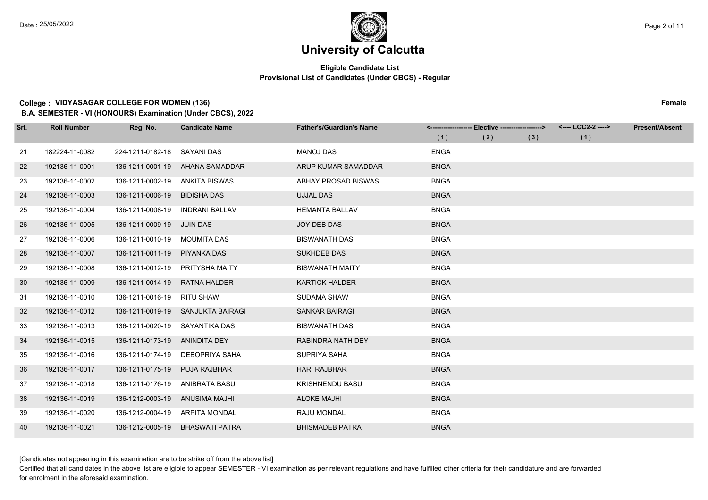#### **Eligible Candidate List Provisional List of Candidates (Under CBCS) - Regular**

#### **College : VIDYASAGAR COLLEGE FOR WOMEN (136) Female**

**B.A. SEMESTER - VI (HONOURS) Examination (Under CBCS), 2022**

| Srl. | <b>Roll Number</b> | Reg. No.                     | <b>Candidate Name</b>             | <b>Father's/Guardian's Name</b> |             | <------------------- Elective -------------------> |     | <---- LCC2-2 ----> | <b>Present/Absent</b> |
|------|--------------------|------------------------------|-----------------------------------|---------------------------------|-------------|----------------------------------------------------|-----|--------------------|-----------------------|
|      |                    |                              |                                   |                                 | (1)         | (2)                                                | (3) | (1)                |                       |
| 21   | 182224-11-0082     | 224-1211-0182-18             | SAYANI DAS                        | <b>MANOJ DAS</b>                | <b>ENGA</b> |                                                    |     |                    |                       |
| 22   | 192136-11-0001     | 136-1211-0001-19             | AHANA SAMADDAR                    | ARUP KUMAR SAMADDAR             | <b>BNGA</b> |                                                    |     |                    |                       |
| 23   | 192136-11-0002     | 136-1211-0002-19             | ANKITA BISWAS                     | <b>ABHAY PROSAD BISWAS</b>      | <b>BNGA</b> |                                                    |     |                    |                       |
| 24   | 192136-11-0003     | 136-1211-0006-19             | <b>BIDISHA DAS</b>                | <b>UJJAL DAS</b>                | <b>BNGA</b> |                                                    |     |                    |                       |
| 25   | 192136-11-0004     | 136-1211-0008-19             | <b>INDRANI BALLAV</b>             | <b>HEMANTA BALLAV</b>           | <b>BNGA</b> |                                                    |     |                    |                       |
| 26   | 192136-11-0005     | 136-1211-0009-19             | <b>JUIN DAS</b>                   | <b>JOY DEB DAS</b>              | <b>BNGA</b> |                                                    |     |                    |                       |
| 27   | 192136-11-0006     | 136-1211-0010-19 MOUMITA DAS |                                   | <b>BISWANATH DAS</b>            | <b>BNGA</b> |                                                    |     |                    |                       |
| 28   | 192136-11-0007     | 136-1211-0011-19             | PIYANKA DAS                       | <b>SUKHDEB DAS</b>              | <b>BNGA</b> |                                                    |     |                    |                       |
| 29   | 192136-11-0008     | 136-1211-0012-19             | <b>PRITYSHA MAITY</b>             | <b>BISWANATH MAITY</b>          | <b>BNGA</b> |                                                    |     |                    |                       |
| 30   | 192136-11-0009     | 136-1211-0014-19             | <b>RATNA HALDER</b>               | <b>KARTICK HALDER</b>           | <b>BNGA</b> |                                                    |     |                    |                       |
| 31   | 192136-11-0010     | 136-1211-0016-19 RITU SHAW   |                                   | <b>SUDAMA SHAW</b>              | <b>BNGA</b> |                                                    |     |                    |                       |
| 32   | 192136-11-0012     |                              | 136-1211-0019-19 SANJUKTA BAIRAGI | <b>SANKAR BAIRAGI</b>           | <b>BNGA</b> |                                                    |     |                    |                       |
| 33   | 192136-11-0013     | 136-1211-0020-19             | SAYANTIKA DAS                     | <b>BISWANATH DAS</b>            | <b>BNGA</b> |                                                    |     |                    |                       |
| 34   | 192136-11-0015     | 136-1211-0173-19             | ANINDITA DEY                      | RABINDRA NATH DEY               | <b>BNGA</b> |                                                    |     |                    |                       |
| 35   | 192136-11-0016     | 136-1211-0174-19             | DEBOPRIYA SAHA                    | SUPRIYA SAHA                    | <b>BNGA</b> |                                                    |     |                    |                       |
| 36   | 192136-11-0017     | 136-1211-0175-19             | <b>PUJA RAJBHAR</b>               | <b>HARI RAJBHAR</b>             | <b>BNGA</b> |                                                    |     |                    |                       |
| 37   | 192136-11-0018     | 136-1211-0176-19             | ANIBRATA BASU                     | <b>KRISHNENDU BASU</b>          | <b>BNGA</b> |                                                    |     |                    |                       |
| 38   | 192136-11-0019     | 136-1212-0003-19             | ANUSIMA MAJHI                     | <b>ALOKE MAJHI</b>              | <b>BNGA</b> |                                                    |     |                    |                       |
| 39   | 192136-11-0020     | 136-1212-0004-19             | ARPITA MONDAL                     | RAJU MONDAL                     | <b>BNGA</b> |                                                    |     |                    |                       |
| 40   | 192136-11-0021     | 136-1212-0005-19             | <b>BHASWATI PATRA</b>             | <b>BHISMADEB PATRA</b>          | <b>BNGA</b> |                                                    |     |                    |                       |

[Candidates not appearing in this examination are to be strike off from the above list]

Certified that all candidates in the above list are eligible to appear SEMESTER - VI examination as per relevant regulations and have fulfilled other criteria for their candidature and are forwarded for enrolment in the aforesaid examination.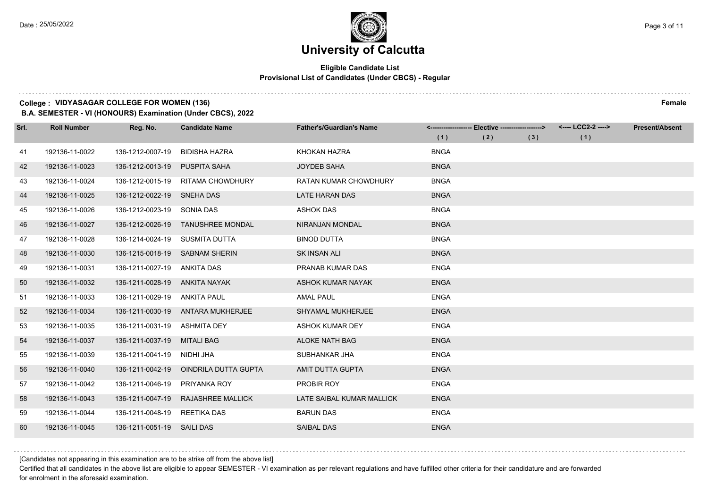### **University of Calcutta**

#### **Eligible Candidate List Provisional List of Candidates (Under CBCS) - Regular**

#### **College : VIDYASAGAR COLLEGE FOR WOMEN (136) Female**

**B.A. SEMESTER - VI (HONOURS) Examination (Under CBCS), 2022**

| Srl. | <b>Roll Number</b> | Reg. No.                       | <b>Candidate Name</b>             | <b>Father's/Guardian's Name</b> |             | <-------------------- Elective -------------------> |     | <---- LCC2-2 ----> | <b>Present/Absent</b> |
|------|--------------------|--------------------------------|-----------------------------------|---------------------------------|-------------|-----------------------------------------------------|-----|--------------------|-----------------------|
|      |                    |                                |                                   |                                 | (1)         | (2)                                                 | (3) | (1)                |                       |
| 41   | 192136-11-0022     | 136-1212-0007-19               | <b>BIDISHA HAZRA</b>              | KHOKAN HAZRA                    | <b>BNGA</b> |                                                     |     |                    |                       |
| 42   | 192136-11-0023     | 136-1212-0013-19               | PUSPITA SAHA                      | <b>JOYDEB SAHA</b>              | <b>BNGA</b> |                                                     |     |                    |                       |
| 43   | 192136-11-0024     | 136-1212-0015-19               | RITAMA CHOWDHURY                  | <b>RATAN KUMAR CHOWDHURY</b>    | <b>BNGA</b> |                                                     |     |                    |                       |
| 44   | 192136-11-0025     | 136-1212-0022-19 SNEHA DAS     |                                   | <b>LATE HARAN DAS</b>           | <b>BNGA</b> |                                                     |     |                    |                       |
| 45   | 192136-11-0026     | 136-1212-0023-19               | SONIA DAS                         | <b>ASHOK DAS</b>                | <b>BNGA</b> |                                                     |     |                    |                       |
| 46   | 192136-11-0027     | 136-1212-0026-19               | <b>TANUSHREE MONDAL</b>           | NIRANJAN MONDAL                 | <b>BNGA</b> |                                                     |     |                    |                       |
| 47   | 192136-11-0028     | 136-1214-0024-19 SUSMITA DUTTA |                                   | <b>BINOD DUTTA</b>              | <b>BNGA</b> |                                                     |     |                    |                       |
| 48   | 192136-11-0030     | 136-1215-0018-19               | <b>SABNAM SHERIN</b>              | <b>SK INSAN ALI</b>             | <b>BNGA</b> |                                                     |     |                    |                       |
| 49   | 192136-11-0031     | 136-1211-0027-19               | ANKITA DAS                        | PRANAB KUMAR DAS                | <b>ENGA</b> |                                                     |     |                    |                       |
| 50   | 192136-11-0032     | 136-1211-0028-19               | ANKITA NAYAK                      | ASHOK KUMAR NAYAK               | <b>ENGA</b> |                                                     |     |                    |                       |
| 51   | 192136-11-0033     | 136-1211-0029-19               | ANKITA PAUL                       | <b>AMAL PAUL</b>                | <b>ENGA</b> |                                                     |     |                    |                       |
| 52   | 192136-11-0034     |                                | 136-1211-0030-19 ANTARA MUKHERJEE | <b>SHYAMAL MUKHERJEE</b>        | <b>ENGA</b> |                                                     |     |                    |                       |
| 53   | 192136-11-0035     | 136-1211-0031-19               | <b>ASHMITA DEY</b>                | <b>ASHOK KUMAR DEY</b>          | <b>ENGA</b> |                                                     |     |                    |                       |
| 54   | 192136-11-0037     | 136-1211-0037-19               | <b>MITALI BAG</b>                 | <b>ALOKE NATH BAG</b>           | <b>ENGA</b> |                                                     |     |                    |                       |
| 55   | 192136-11-0039     | 136-1211-0041-19               | NIDHI JHA                         | SUBHANKAR JHA                   | <b>ENGA</b> |                                                     |     |                    |                       |
| 56   | 192136-11-0040     | 136-1211-0042-19               | OINDRILA DUTTA GUPTA              | AMIT DUTTA GUPTA                | <b>ENGA</b> |                                                     |     |                    |                       |
| 57   | 192136-11-0042     | 136-1211-0046-19               | PRIYANKA ROY                      | PROBIR ROY                      | <b>ENGA</b> |                                                     |     |                    |                       |
| 58   | 192136-11-0043     | 136-1211-0047-19               | <b>RAJASHREE MALLICK</b>          | LATE SAIBAL KUMAR MALLICK       | <b>ENGA</b> |                                                     |     |                    |                       |
| 59   | 192136-11-0044     | 136-1211-0048-19               | REETIKA DAS                       | <b>BARUN DAS</b>                | <b>ENGA</b> |                                                     |     |                    |                       |
| 60   | 192136-11-0045     | 136-1211-0051-19 SAILI DAS     |                                   | <b>SAIBAL DAS</b>               | <b>ENGA</b> |                                                     |     |                    |                       |

[Candidates not appearing in this examination are to be strike off from the above list]

Certified that all candidates in the above list are eligible to appear SEMESTER - VI examination as per relevant regulations and have fulfilled other criteria for their candidature and are forwarded for enrolment in the aforesaid examination.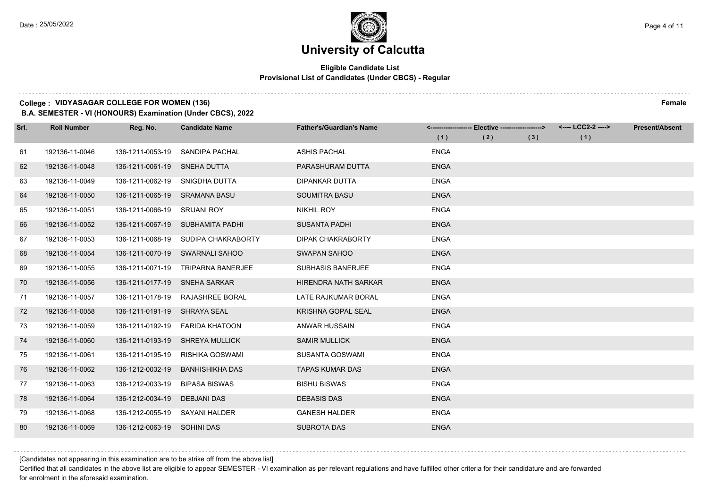#### **Eligible Candidate List Provisional List of Candidates (Under CBCS) - Regular**

#### **College : VIDYASAGAR COLLEGE FOR WOMEN (136) Female**

**B.A. SEMESTER - VI (HONOURS) Examination (Under CBCS), 2022**

| Srl. | <b>Roll Number</b> | Reg. No.                      | <b>Candidate Name</b>            | <b>Father's/Guardian's Name</b> |             | <-------------------- Elective -------------------> |     | <---- LCC2-2 ----> | <b>Present/Absent</b> |
|------|--------------------|-------------------------------|----------------------------------|---------------------------------|-------------|-----------------------------------------------------|-----|--------------------|-----------------------|
|      |                    |                               |                                  |                                 | (1)         | (2)                                                 | (3) | (1)                |                       |
| 61   | 192136-11-0046     | 136-1211-0053-19              | SANDIPA PACHAL                   | <b>ASHIS PACHAL</b>             | <b>ENGA</b> |                                                     |     |                    |                       |
| 62   | 192136-11-0048     | 136-1211-0061-19              | SNEHA DUTTA                      | PARASHURAM DUTTA                | <b>ENGA</b> |                                                     |     |                    |                       |
| 63   | 192136-11-0049     | 136-1211-0062-19              | SNIGDHA DUTTA                    | <b>DIPANKAR DUTTA</b>           | <b>ENGA</b> |                                                     |     |                    |                       |
| 64   | 192136-11-0050     | 136-1211-0065-19 SRAMANA BASU |                                  | <b>SOUMITRA BASU</b>            | <b>ENGA</b> |                                                     |     |                    |                       |
| 65   | 192136-11-0051     | 136-1211-0066-19              | <b>SRIJANI ROY</b>               | <b>NIKHIL ROY</b>               | <b>ENGA</b> |                                                     |     |                    |                       |
| 66   | 192136-11-0052     |                               | 136-1211-0067-19 SUBHAMITA PADHI | <b>SUSANTA PADHI</b>            | <b>ENGA</b> |                                                     |     |                    |                       |
| 67   | 192136-11-0053     | 136-1211-0068-19              | SUDIPA CHAKRABORTY               | DIPAK CHAKRABORTY               | <b>ENGA</b> |                                                     |     |                    |                       |
| 68   | 192136-11-0054     | 136-1211-0070-19              | <b>SWARNALI SAHOO</b>            | SWAPAN SAHOO                    | <b>ENGA</b> |                                                     |     |                    |                       |
| 69   | 192136-11-0055     | 136-1211-0071-19              | <b>TRIPARNA BANERJEE</b>         | <b>SUBHASIS BANERJEE</b>        | <b>ENGA</b> |                                                     |     |                    |                       |
| 70   | 192136-11-0056     | 136-1211-0177-19              | <b>SNEHA SARKAR</b>              | HIRENDRA NATH SARKAR            | <b>ENGA</b> |                                                     |     |                    |                       |
| 71   | 192136-11-0057     | 136-1211-0178-19              | RAJASHREE BORAL                  | LATE RAJKUMAR BORAL             | <b>ENGA</b> |                                                     |     |                    |                       |
| 72   | 192136-11-0058     | 136-1211-0191-19              | SHRAYA SEAL                      | KRISHNA GOPAL SEAL              | <b>ENGA</b> |                                                     |     |                    |                       |
| 73   | 192136-11-0059     | 136-1211-0192-19              | <b>FARIDA KHATOON</b>            | ANWAR HUSSAIN                   | <b>ENGA</b> |                                                     |     |                    |                       |
| 74   | 192136-11-0060     | 136-1211-0193-19              | <b>SHREYA MULLICK</b>            | <b>SAMIR MULLICK</b>            | <b>ENGA</b> |                                                     |     |                    |                       |
| 75   | 192136-11-0061     | 136-1211-0195-19              | RISHIKA GOSWAMI                  | <b>SUSANTA GOSWAMI</b>          | <b>ENGA</b> |                                                     |     |                    |                       |
| 76   | 192136-11-0062     | 136-1212-0032-19              | <b>BANHISHIKHA DAS</b>           | <b>TAPAS KUMAR DAS</b>          | <b>ENGA</b> |                                                     |     |                    |                       |
| 77   | 192136-11-0063     | 136-1212-0033-19              | <b>BIPASA BISWAS</b>             | <b>BISHU BISWAS</b>             | <b>ENGA</b> |                                                     |     |                    |                       |
| 78   | 192136-11-0064     | 136-1212-0034-19              | <b>DEBJANI DAS</b>               | <b>DEBASIS DAS</b>              | <b>ENGA</b> |                                                     |     |                    |                       |
| 79   | 192136-11-0068     | 136-1212-0055-19              | <b>SAYANI HALDER</b>             | <b>GANESH HALDER</b>            | <b>ENGA</b> |                                                     |     |                    |                       |
| 80   | 192136-11-0069     | 136-1212-0063-19 SOHINI DAS   |                                  | <b>SUBROTA DAS</b>              | <b>ENGA</b> |                                                     |     |                    |                       |

[Candidates not appearing in this examination are to be strike off from the above list]

Certified that all candidates in the above list are eligible to appear SEMESTER - VI examination as per relevant regulations and have fulfilled other criteria for their candidature and are forwarded for enrolment in the aforesaid examination.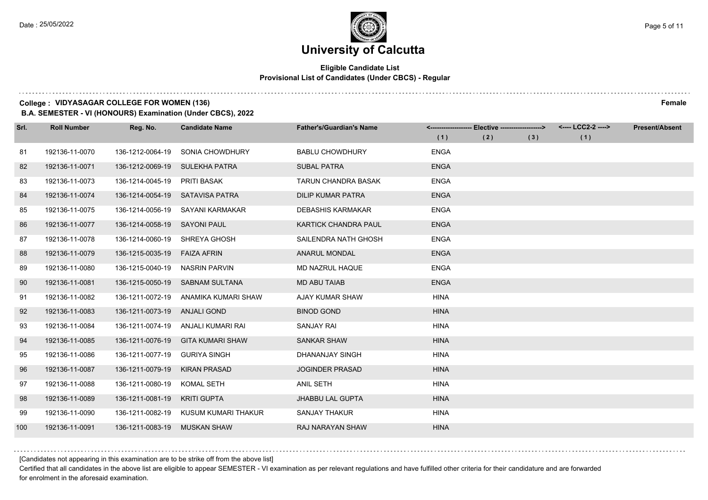### **University of Calcutta**

#### **Eligible Candidate List Provisional List of Candidates (Under CBCS) - Regular**

#### **College : VIDYASAGAR COLLEGE FOR WOMEN (136) Female**

**B.A. SEMESTER - VI (HONOURS) Examination (Under CBCS), 2022**

| Srl. | <b>Roll Number</b> | Reg. No.                     | <b>Candidate Name</b>                | <b>Father's/Guardian's Name</b> |             | <------------------- Elective -------------------> |     | <---- LCC2-2 ----> | <b>Present/Absent</b> |
|------|--------------------|------------------------------|--------------------------------------|---------------------------------|-------------|----------------------------------------------------|-----|--------------------|-----------------------|
|      |                    |                              |                                      |                                 | (1)         | (2)                                                | (3) | (1)                |                       |
| -81  | 192136-11-0070     | 136-1212-0064-19             | <b>SONIA CHOWDHURY</b>               | <b>BABLU CHOWDHURY</b>          | <b>ENGA</b> |                                                    |     |                    |                       |
| 82   | 192136-11-0071     | 136-1212-0069-19             | SULEKHA PATRA                        | <b>SUBAL PATRA</b>              | <b>ENGA</b> |                                                    |     |                    |                       |
| 83   | 192136-11-0073     | 136-1214-0045-19 PRITI BASAK |                                      | <b>TARUN CHANDRA BASAK</b>      | <b>ENGA</b> |                                                    |     |                    |                       |
| 84   | 192136-11-0074     |                              | 136-1214-0054-19 SATAVISA PATRA      | <b>DILIP KUMAR PATRA</b>        | <b>ENGA</b> |                                                    |     |                    |                       |
| 85   | 192136-11-0075     | 136-1214-0056-19             | SAYANI KARMAKAR                      | <b>DEBASHIS KARMAKAR</b>        | <b>ENGA</b> |                                                    |     |                    |                       |
| 86   | 192136-11-0077     | 136-1214-0058-19             | SAYONI PAUL                          | <b>KARTICK CHANDRA PAUL</b>     | <b>ENGA</b> |                                                    |     |                    |                       |
| 87   | 192136-11-0078     | 136-1214-0060-19             | SHREYA GHOSH                         | SAILENDRA NATH GHOSH            | <b>ENGA</b> |                                                    |     |                    |                       |
| 88   | 192136-11-0079     | 136-1215-0035-19             | <b>FAIZA AFRIN</b>                   | <b>ANARUL MONDAL</b>            | <b>ENGA</b> |                                                    |     |                    |                       |
| 89   | 192136-11-0080     | 136-1215-0040-19             | <b>NASRIN PARVIN</b>                 | <b>MD NAZRUL HAQUE</b>          | <b>ENGA</b> |                                                    |     |                    |                       |
| 90   | 192136-11-0081     | 136-1215-0050-19             | SABNAM SULTANA                       | <b>MD ABU TAIAB</b>             | <b>ENGA</b> |                                                    |     |                    |                       |
| 91   | 192136-11-0082     | 136-1211-0072-19             | ANAMIKA KUMARI SHAW                  | AJAY KUMAR SHAW                 | <b>HINA</b> |                                                    |     |                    |                       |
| 92   | 192136-11-0083     | 136-1211-0073-19             | ANJALI GOND                          | <b>BINOD GOND</b>               | <b>HINA</b> |                                                    |     |                    |                       |
| 93   | 192136-11-0084     | 136-1211-0074-19             | ANJALI KUMARI RAI                    | <b>SANJAY RAI</b>               | <b>HINA</b> |                                                    |     |                    |                       |
| 94   | 192136-11-0085     | 136-1211-0076-19             | <b>GITA KUMARI SHAW</b>              | <b>SANKAR SHAW</b>              | <b>HINA</b> |                                                    |     |                    |                       |
| 95   | 192136-11-0086     | 136-1211-0077-19             | <b>GURIYA SINGH</b>                  | DHANANJAY SINGH                 | <b>HINA</b> |                                                    |     |                    |                       |
| 96   | 192136-11-0087     | 136-1211-0079-19             | <b>KIRAN PRASAD</b>                  | <b>JOGINDER PRASAD</b>          | <b>HINA</b> |                                                    |     |                    |                       |
| 97   | 192136-11-0088     | 136-1211-0080-19             | <b>KOMAL SETH</b>                    | <b>ANIL SETH</b>                | <b>HINA</b> |                                                    |     |                    |                       |
| 98   | 192136-11-0089     | 136-1211-0081-19             | <b>KRITI GUPTA</b>                   | <b>JHABBU LAL GUPTA</b>         | <b>HINA</b> |                                                    |     |                    |                       |
| 99   | 192136-11-0090     |                              | 136-1211-0082-19 KUSUM KUMARI THAKUR | SANJAY THAKUR                   | <b>HINA</b> |                                                    |     |                    |                       |
| 100  | 192136-11-0091     | 136-1211-0083-19             | MUSKAN SHAW                          | <b>RAJ NARAYAN SHAW</b>         | <b>HINA</b> |                                                    |     |                    |                       |

[Candidates not appearing in this examination are to be strike off from the above list]

Certified that all candidates in the above list are eligible to appear SEMESTER - VI examination as per relevant regulations and have fulfilled other criteria for their candidature and are forwarded for enrolment in the aforesaid examination.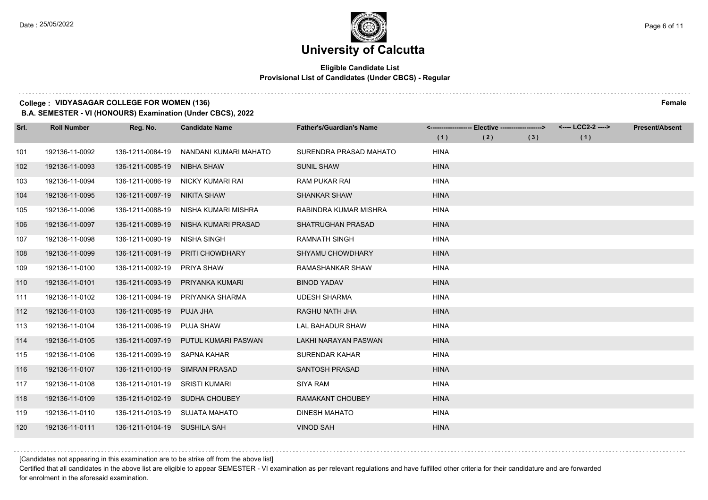### **University of Calcutta**

#### **Eligible Candidate List Provisional List of Candidates (Under CBCS) - Regular**

#### **College : VIDYASAGAR COLLEGE FOR WOMEN (136) Female**

**B.A. SEMESTER - VI (HONOURS) Examination (Under CBCS), 2022**

| Srl. | <b>Roll Number</b> | Reg. No.         | <b>Candidate Name</b> | <b>Father's/Guardian's Name</b> | (1)         | <------------------- Elective ------------------><br>(2) | (3) | <---- LCC2-2 ----><br>(1) | <b>Present/Absent</b> |
|------|--------------------|------------------|-----------------------|---------------------------------|-------------|----------------------------------------------------------|-----|---------------------------|-----------------------|
| 101  | 192136-11-0092     | 136-1211-0084-19 | NANDANI KUMARI MAHATO | SURENDRA PRASAD MAHATO          | <b>HINA</b> |                                                          |     |                           |                       |
| 102  | 192136-11-0093     | 136-1211-0085-19 | <b>NIBHA SHAW</b>     | <b>SUNIL SHAW</b>               | <b>HINA</b> |                                                          |     |                           |                       |
| 103  | 192136-11-0094     | 136-1211-0086-19 | NICKY KUMARI RAI      | <b>RAM PUKAR RAI</b>            | <b>HINA</b> |                                                          |     |                           |                       |
| 104  | 192136-11-0095     | 136-1211-0087-19 | NIKITA SHAW           | <b>SHANKAR SHAW</b>             | <b>HINA</b> |                                                          |     |                           |                       |
| 105  | 192136-11-0096     | 136-1211-0088-19 | NISHA KUMARI MISHRA   | RABINDRA KUMAR MISHRA           | <b>HINA</b> |                                                          |     |                           |                       |
| 106  | 192136-11-0097     | 136-1211-0089-19 | NISHA KUMARI PRASAD   | <b>SHATRUGHAN PRASAD</b>        | <b>HINA</b> |                                                          |     |                           |                       |
| 107  | 192136-11-0098     | 136-1211-0090-19 | <b>NISHA SINGH</b>    | <b>RAMNATH SINGH</b>            | <b>HINA</b> |                                                          |     |                           |                       |
| 108  | 192136-11-0099     | 136-1211-0091-19 | PRITI CHOWDHARY       | SHYAMU CHOWDHARY                | <b>HINA</b> |                                                          |     |                           |                       |
| 109  | 192136-11-0100     | 136-1211-0092-19 | <b>PRIYA SHAW</b>     | RAMASHANKAR SHAW                | <b>HINA</b> |                                                          |     |                           |                       |
| 110  | 192136-11-0101     | 136-1211-0093-19 | PRIYANKA KUMARI       | <b>BINOD YADAV</b>              | <b>HINA</b> |                                                          |     |                           |                       |
| 111  | 192136-11-0102     | 136-1211-0094-19 | PRIYANKA SHARMA       | <b>UDESH SHARMA</b>             | <b>HINA</b> |                                                          |     |                           |                       |
| 112  | 192136-11-0103     | 136-1211-0095-19 | PUJA JHA              | RAGHU NATH JHA                  | <b>HINA</b> |                                                          |     |                           |                       |
| 113  | 192136-11-0104     | 136-1211-0096-19 | <b>PUJA SHAW</b>      | <b>LAL BAHADUR SHAW</b>         | <b>HINA</b> |                                                          |     |                           |                       |
| 114  | 192136-11-0105     | 136-1211-0097-19 | PUTUL KUMARI PASWAN   | LAKHI NARAYAN PASWAN            | <b>HINA</b> |                                                          |     |                           |                       |
| 115  | 192136-11-0106     | 136-1211-0099-19 | SAPNA KAHAR           | <b>SURENDAR KAHAR</b>           | <b>HINA</b> |                                                          |     |                           |                       |
| 116  | 192136-11-0107     | 136-1211-0100-19 | <b>SIMRAN PRASAD</b>  | <b>SANTOSH PRASAD</b>           | <b>HINA</b> |                                                          |     |                           |                       |
| 117  | 192136-11-0108     | 136-1211-0101-19 | <b>SRISTI KUMARI</b>  | <b>SIYA RAM</b>                 | <b>HINA</b> |                                                          |     |                           |                       |
| 118  | 192136-11-0109     | 136-1211-0102-19 | <b>SUDHA CHOUBEY</b>  | <b>RAMAKANT CHOUBEY</b>         | <b>HINA</b> |                                                          |     |                           |                       |
| 119  | 192136-11-0110     | 136-1211-0103-19 | SUJATA MAHATO         | <b>DINESH MAHATO</b>            | <b>HINA</b> |                                                          |     |                           |                       |
| 120  | 192136-11-0111     | 136-1211-0104-19 | SUSHILA SAH           | <b>VINOD SAH</b>                | <b>HINA</b> |                                                          |     |                           |                       |

[Candidates not appearing in this examination are to be strike off from the above list]

Certified that all candidates in the above list are eligible to appear SEMESTER - VI examination as per relevant regulations and have fulfilled other criteria for their candidature and are forwarded for enrolment in the aforesaid examination.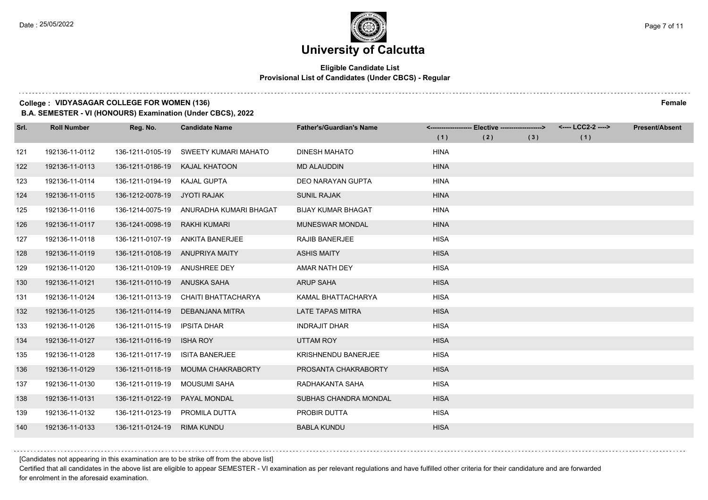#### **Eligible Candidate List Provisional List of Candidates (Under CBCS) - Regular**

#### **College : VIDYASAGAR COLLEGE FOR WOMEN (136) Female**

**B.A. SEMESTER - VI (HONOURS) Examination (Under CBCS), 2022**

| Srl. | <b>Roll Number</b> | Reg. No.                        | <b>Candidate Name</b>       | <b>Father's/Guardian's Name</b> |             | <------------------- Elective ------------------> |     | <---- LCC2-2 ----> | <b>Present/Absent</b> |
|------|--------------------|---------------------------------|-----------------------------|---------------------------------|-------------|---------------------------------------------------|-----|--------------------|-----------------------|
|      |                    |                                 |                             |                                 | (1)         | (2)                                               | (3) | (1)                |                       |
| 121  | 192136-11-0112     | 136-1211-0105-19                | <b>SWEETY KUMARI MAHATO</b> | <b>DINESH MAHATO</b>            | <b>HINA</b> |                                                   |     |                    |                       |
| 122  | 192136-11-0113     | 136-1211-0186-19                | <b>KAJAL KHATOON</b>        | <b>MD ALAUDDIN</b>              | <b>HINA</b> |                                                   |     |                    |                       |
| 123  | 192136-11-0114     | 136-1211-0194-19                | <b>KAJAL GUPTA</b>          | <b>DEO NARAYAN GUPTA</b>        | <b>HINA</b> |                                                   |     |                    |                       |
| 124  | 192136-11-0115     | 136-1212-0078-19                | JYOTI RAJAK                 | <b>SUNIL RAJAK</b>              | <b>HINA</b> |                                                   |     |                    |                       |
| 125  | 192136-11-0116     | 136-1214-0075-19                | ANURADHA KUMARI BHAGAT      | <b>BIJAY KUMAR BHAGAT</b>       | <b>HINA</b> |                                                   |     |                    |                       |
| 126  | 192136-11-0117     | 136-1241-0098-19                | <b>RAKHI KUMARI</b>         | <b>MUNESWAR MONDAL</b>          | <b>HINA</b> |                                                   |     |                    |                       |
| 127  | 192136-11-0118     | 136-1211-0107-19                | ANKITA BANERJEE             | <b>RAJIB BANERJEE</b>           | <b>HISA</b> |                                                   |     |                    |                       |
| 128  | 192136-11-0119     | 136-1211-0108-19 ANUPRIYA MAITY |                             | <b>ASHIS MAITY</b>              | <b>HISA</b> |                                                   |     |                    |                       |
| 129  | 192136-11-0120     | 136-1211-0109-19                | ANUSHREE DEY                | AMAR NATH DEY                   | <b>HISA</b> |                                                   |     |                    |                       |
| 130  | 192136-11-0121     | 136-1211-0110-19 ANUSKA SAHA    |                             | <b>ARUP SAHA</b>                | <b>HISA</b> |                                                   |     |                    |                       |
| 131  | 192136-11-0124     | 136-1211-0113-19                | CHAITI BHATTACHARYA         | KAMAL BHATTACHARYA              | <b>HISA</b> |                                                   |     |                    |                       |
| 132  | 192136-11-0125     | 136-1211-0114-19                | DEBANJANA MITRA             | <b>LATE TAPAS MITRA</b>         | <b>HISA</b> |                                                   |     |                    |                       |
| 133  | 192136-11-0126     | 136-1211-0115-19                | <b>IPSITA DHAR</b>          | <b>INDRAJIT DHAR</b>            | <b>HISA</b> |                                                   |     |                    |                       |
| 134  | 192136-11-0127     | 136-1211-0116-19                | <b>ISHA ROY</b>             | UTTAM ROY                       | <b>HISA</b> |                                                   |     |                    |                       |
| 135  | 192136-11-0128     | 136-1211-0117-19                | <b>ISITA BANERJEE</b>       | KRISHNENDU BANERJEE             | <b>HISA</b> |                                                   |     |                    |                       |
| 136  | 192136-11-0129     | 136-1211-0118-19                | <b>MOUMA CHAKRABORTY</b>    | PROSANTA CHAKRABORTY            | <b>HISA</b> |                                                   |     |                    |                       |
| 137  | 192136-11-0130     | 136-1211-0119-19                | <b>MOUSUMI SAHA</b>         | RADHAKANTA SAHA                 | <b>HISA</b> |                                                   |     |                    |                       |
| 138  | 192136-11-0131     | 136-1211-0122-19                | PAYAL MONDAL                | SUBHAS CHANDRA MONDAL           | <b>HISA</b> |                                                   |     |                    |                       |
| 139  | 192136-11-0132     | 136-1211-0123-19                | PROMILA DUTTA               | PROBIR DUTTA                    | <b>HISA</b> |                                                   |     |                    |                       |
| 140  | 192136-11-0133     | 136-1211-0124-19                | <b>RIMA KUNDU</b>           | <b>BABLA KUNDU</b>              | <b>HISA</b> |                                                   |     |                    |                       |

[Candidates not appearing in this examination are to be strike off from the above list]

Certified that all candidates in the above list are eligible to appear SEMESTER - VI examination as per relevant regulations and have fulfilled other criteria for their candidature and are forwarded for enrolment in the aforesaid examination.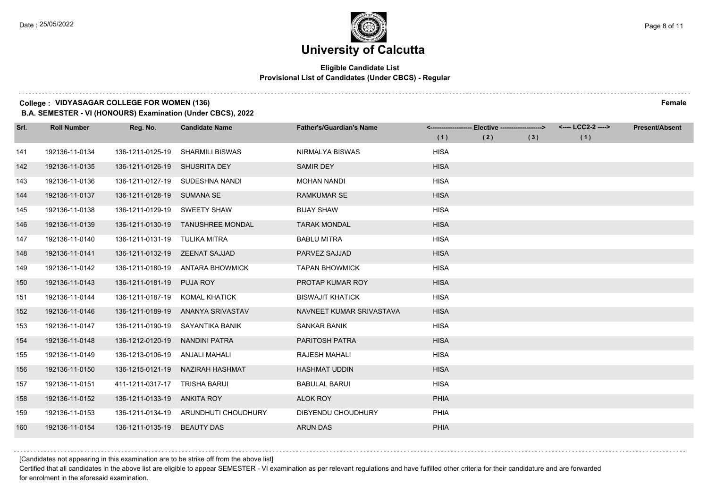#### **Eligible Candidate List Provisional List of Candidates (Under CBCS) - Regular**

#### **College : VIDYASAGAR COLLEGE FOR WOMEN (136) Female**

**B.A. SEMESTER - VI (HONOURS) Examination (Under CBCS), 2022**

| Srl. | <b>Roll Number</b> | Reg. No.                      | <b>Candidate Name</b>                | <b>Father's/Guardian's Name</b> | (1)         | <------------------- Elective ------------------><br>(2) | (3) | <---- LCC2-2 ----><br>(1) | <b>Present/Absent</b> |
|------|--------------------|-------------------------------|--------------------------------------|---------------------------------|-------------|----------------------------------------------------------|-----|---------------------------|-----------------------|
| 141  | 192136-11-0134     | 136-1211-0125-19              | <b>SHARMILI BISWAS</b>               | NIRMALYA BISWAS                 | <b>HISA</b> |                                                          |     |                           |                       |
| 142  | 192136-11-0135     | 136-1211-0126-19              | <b>SHUSRITA DEY</b>                  | <b>SAMIR DEY</b>                | <b>HISA</b> |                                                          |     |                           |                       |
| 143  | 192136-11-0136     | 136-1211-0127-19              | SUDESHNA NANDI                       | <b>MOHAN NANDI</b>              | <b>HISA</b> |                                                          |     |                           |                       |
| 144  | 192136-11-0137     | 136-1211-0128-19 SUMANA SE    |                                      | <b>RAMKUMAR SE</b>              | <b>HISA</b> |                                                          |     |                           |                       |
| 145  | 192136-11-0138     | 136-1211-0129-19              | <b>SWEETY SHAW</b>                   | <b>BIJAY SHAW</b>               | <b>HISA</b> |                                                          |     |                           |                       |
| 146  | 192136-11-0139     | 136-1211-0130-19              | <b>TANUSHREE MONDAL</b>              | <b>TARAK MONDAL</b>             | <b>HISA</b> |                                                          |     |                           |                       |
| 147  | 192136-11-0140     | 136-1211-0131-19 TULIKA MITRA |                                      | <b>BABLU MITRA</b>              | <b>HISA</b> |                                                          |     |                           |                       |
| 148  | 192136-11-0141     | 136-1211-0132-19              | ZEENAT SAJJAD                        | PARVEZ SAJJAD                   | <b>HISA</b> |                                                          |     |                           |                       |
| 149  | 192136-11-0142     | 136-1211-0180-19              | <b>ANTARA BHOWMICK</b>               | <b>TAPAN BHOWMICK</b>           | <b>HISA</b> |                                                          |     |                           |                       |
| 150  | 192136-11-0143     | 136-1211-0181-19              | <b>PUJA ROY</b>                      | PROTAP KUMAR ROY                | <b>HISA</b> |                                                          |     |                           |                       |
| 151  | 192136-11-0144     | 136-1211-0187-19              | <b>KOMAL KHATICK</b>                 | <b>BISWAJIT KHATICK</b>         | <b>HISA</b> |                                                          |     |                           |                       |
| 152  | 192136-11-0146     | 136-1211-0189-19              | ANANYA SRIVASTAV                     | NAVNEET KUMAR SRIVASTAVA        | <b>HISA</b> |                                                          |     |                           |                       |
| 153  | 192136-11-0147     | 136-1211-0190-19              | SAYANTIKA BANIK                      | SANKAR BANIK                    | <b>HISA</b> |                                                          |     |                           |                       |
| 154  | 192136-11-0148     | 136-1212-0120-19              | <b>NANDINI PATRA</b>                 | <b>PARITOSH PATRA</b>           | <b>HISA</b> |                                                          |     |                           |                       |
| 155  | 192136-11-0149     | 136-1213-0106-19              | ANJALI MAHALI                        | <b>RAJESH MAHALI</b>            | <b>HISA</b> |                                                          |     |                           |                       |
| 156  | 192136-11-0150     | 136-1215-0121-19              | NAZIRAH HASHMAT                      | <b>HASHMAT UDDIN</b>            | <b>HISA</b> |                                                          |     |                           |                       |
| 157  | 192136-11-0151     | 411-1211-0317-17              | <b>TRISHA BARUI</b>                  | <b>BABULAL BARUI</b>            | <b>HISA</b> |                                                          |     |                           |                       |
| 158  | 192136-11-0152     | 136-1211-0133-19              | ANKITA ROY                           | <b>ALOK ROY</b>                 | <b>PHIA</b> |                                                          |     |                           |                       |
| 159  | 192136-11-0153     |                               | 136-1211-0134-19 ARUNDHUTI CHOUDHURY | DIBYENDU CHOUDHURY              | PHIA        |                                                          |     |                           |                       |
| 160  | 192136-11-0154     | 136-1211-0135-19              | <b>BEAUTY DAS</b>                    | <b>ARUN DAS</b>                 | <b>PHIA</b> |                                                          |     |                           |                       |

[Candidates not appearing in this examination are to be strike off from the above list]

Certified that all candidates in the above list are eligible to appear SEMESTER - VI examination as per relevant regulations and have fulfilled other criteria for their candidature and are forwarded for enrolment in the aforesaid examination.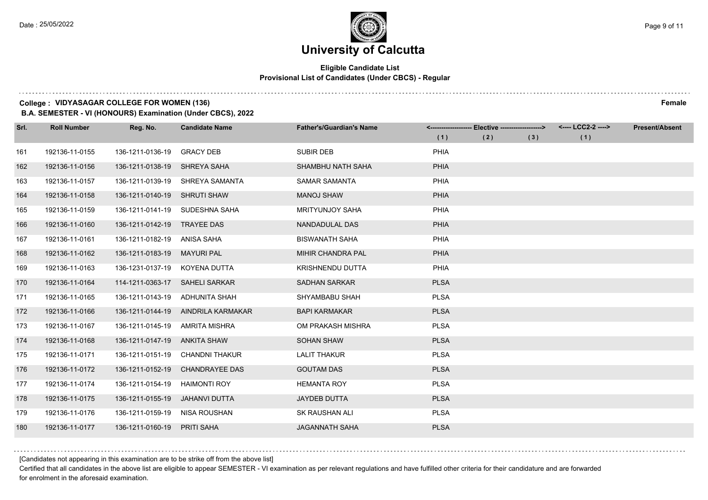#### **Eligible Candidate List Provisional List of Candidates (Under CBCS) - Regular**

#### **College : VIDYASAGAR COLLEGE FOR WOMEN (136) Female**

**B.A. SEMESTER - VI (HONOURS) Examination (Under CBCS), 2022**

| Srl. | <b>Roll Number</b> | Reg. No.         | <b>Candidate Name</b> | <b>Father's/Guardian's Name</b> |             | <------------------- Elective -------------------> |     | <---- LCC2-2 ----> | <b>Present/Absent</b> |
|------|--------------------|------------------|-----------------------|---------------------------------|-------------|----------------------------------------------------|-----|--------------------|-----------------------|
|      |                    |                  |                       |                                 | (1)         | (2)                                                | (3) | (1)                |                       |
| 161  | 192136-11-0155     | 136-1211-0136-19 | <b>GRACY DEB</b>      | <b>SUBIR DEB</b>                | PHIA        |                                                    |     |                    |                       |
| 162  | 192136-11-0156     | 136-1211-0138-19 | SHREYA SAHA           | SHAMBHU NATH SAHA               | <b>PHIA</b> |                                                    |     |                    |                       |
| 163  | 192136-11-0157     | 136-1211-0139-19 | SHREYA SAMANTA        | <b>SAMAR SAMANTA</b>            | <b>PHIA</b> |                                                    |     |                    |                       |
| 164  | 192136-11-0158     | 136-1211-0140-19 | <b>SHRUTI SHAW</b>    | <b>MANOJ SHAW</b>               | <b>PHIA</b> |                                                    |     |                    |                       |
| 165  | 192136-11-0159     | 136-1211-0141-19 | SUDESHNA SAHA         | <b>MRITYUNJOY SAHA</b>          | PHIA        |                                                    |     |                    |                       |
| 166  | 192136-11-0160     | 136-1211-0142-19 | <b>TRAYEE DAS</b>     | NANDADULAL DAS                  | <b>PHIA</b> |                                                    |     |                    |                       |
| 167  | 192136-11-0161     | 136-1211-0182-19 | ANISA SAHA            | <b>BISWANATH SAHA</b>           | PHIA        |                                                    |     |                    |                       |
| 168  | 192136-11-0162     | 136-1211-0183-19 | <b>MAYURI PAL</b>     | MIHIR CHANDRA PAL               | <b>PHIA</b> |                                                    |     |                    |                       |
| 169  | 192136-11-0163     | 136-1231-0137-19 | KOYENA DUTTA          | KRISHNENDU DUTTA                | PHIA        |                                                    |     |                    |                       |
| 170  | 192136-11-0164     | 114-1211-0363-17 | <b>SAHELI SARKAR</b>  | <b>SADHAN SARKAR</b>            | <b>PLSA</b> |                                                    |     |                    |                       |
| 171  | 192136-11-0165     | 136-1211-0143-19 | ADHUNITA SHAH         | SHYAMBABU SHAH                  | <b>PLSA</b> |                                                    |     |                    |                       |
| 172  | 192136-11-0166     | 136-1211-0144-19 | AINDRILA KARMAKAR     | <b>BAPI KARMAKAR</b>            | <b>PLSA</b> |                                                    |     |                    |                       |
| 173  | 192136-11-0167     | 136-1211-0145-19 | <b>AMRITA MISHRA</b>  | OM PRAKASH MISHRA               | <b>PLSA</b> |                                                    |     |                    |                       |
| 174  | 192136-11-0168     | 136-1211-0147-19 | <b>ANKITA SHAW</b>    | <b>SOHAN SHAW</b>               | <b>PLSA</b> |                                                    |     |                    |                       |
| 175  | 192136-11-0171     | 136-1211-0151-19 | <b>CHANDNI THAKUR</b> | <b>LALIT THAKUR</b>             | <b>PLSA</b> |                                                    |     |                    |                       |
| 176  | 192136-11-0172     | 136-1211-0152-19 | <b>CHANDRAYEE DAS</b> | <b>GOUTAM DAS</b>               | <b>PLSA</b> |                                                    |     |                    |                       |
| 177  | 192136-11-0174     | 136-1211-0154-19 | <b>HAIMONTI ROY</b>   | <b>HEMANTA ROY</b>              | <b>PLSA</b> |                                                    |     |                    |                       |
| 178  | 192136-11-0175     | 136-1211-0155-19 | <b>JAHANVI DUTTA</b>  | <b>JAYDEB DUTTA</b>             | <b>PLSA</b> |                                                    |     |                    |                       |
| 179  | 192136-11-0176     | 136-1211-0159-19 | <b>NISA ROUSHAN</b>   | <b>SK RAUSHAN ALI</b>           | <b>PLSA</b> |                                                    |     |                    |                       |
| 180  | 192136-11-0177     | 136-1211-0160-19 | <b>PRITI SAHA</b>     | <b>JAGANNATH SAHA</b>           | <b>PLSA</b> |                                                    |     |                    |                       |

[Candidates not appearing in this examination are to be strike off from the above list]

Certified that all candidates in the above list are eligible to appear SEMESTER - VI examination as per relevant regulations and have fulfilled other criteria for their candidature and are forwarded for enrolment in the aforesaid examination.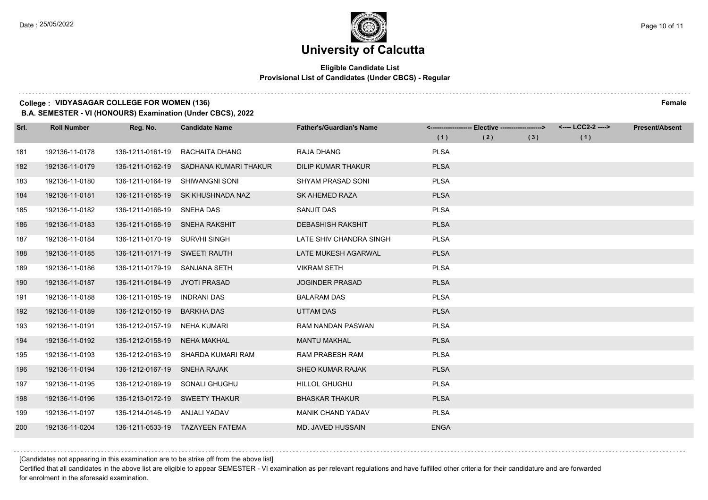### **University of Calcutta**

#### **Eligible Candidate List Provisional List of Candidates (Under CBCS) - Regular**

#### **College : VIDYASAGAR COLLEGE FOR WOMEN (136) Female**

**B.A. SEMESTER - VI (HONOURS) Examination (Under CBCS), 2022**

| Srl. | <b>Roll Number</b> | Reg. No.                      | <b>Candidate Name</b>  | <b>Father's/Guardian's Name</b> |             | <------------------- Elective -------------------> |     | <---- LCC2-2 ----> | <b>Present/Absent</b> |
|------|--------------------|-------------------------------|------------------------|---------------------------------|-------------|----------------------------------------------------|-----|--------------------|-----------------------|
|      |                    |                               |                        |                                 | (1)         | (2)                                                | (3) | (1)                |                       |
| 181  | 192136-11-0178     | 136-1211-0161-19              | RACHAITA DHANG         | <b>RAJA DHANG</b>               | <b>PLSA</b> |                                                    |     |                    |                       |
| 182  | 192136-11-0179     | 136-1211-0162-19              | SADHANA KUMARI THAKUR  | <b>DILIP KUMAR THAKUR</b>       | <b>PLSA</b> |                                                    |     |                    |                       |
| 183  | 192136-11-0180     | 136-1211-0164-19              | <b>SHIWANGNI SONI</b>  | <b>SHYAM PRASAD SONI</b>        | <b>PLSA</b> |                                                    |     |                    |                       |
| 184  | 192136-11-0181     | 136-1211-0165-19              | SK KHUSHNADA NAZ       | <b>SK AHEMED RAZA</b>           | <b>PLSA</b> |                                                    |     |                    |                       |
| 185  | 192136-11-0182     | 136-1211-0166-19              | SNEHA DAS              | <b>SANJIT DAS</b>               | <b>PLSA</b> |                                                    |     |                    |                       |
| 186  | 192136-11-0183     | 136-1211-0168-19              | <b>SNEHA RAKSHIT</b>   | <b>DEBASHISH RAKSHIT</b>        | <b>PLSA</b> |                                                    |     |                    |                       |
| 187  | 192136-11-0184     | 136-1211-0170-19 SURVHI SINGH |                        | LATE SHIV CHANDRA SINGH         | <b>PLSA</b> |                                                    |     |                    |                       |
| 188  | 192136-11-0185     | 136-1211-0171-19              | <b>SWEETI RAUTH</b>    | LATE MUKESH AGARWAL             | <b>PLSA</b> |                                                    |     |                    |                       |
| 189  | 192136-11-0186     | 136-1211-0179-19              | SANJANA SETH           | <b>VIKRAM SETH</b>              | <b>PLSA</b> |                                                    |     |                    |                       |
| 190  | 192136-11-0187     | 136-1211-0184-19              | JYOTI PRASAD           | <b>JOGINDER PRASAD</b>          | <b>PLSA</b> |                                                    |     |                    |                       |
| 191  | 192136-11-0188     | 136-1211-0185-19              | <b>INDRANI DAS</b>     | <b>BALARAM DAS</b>              | <b>PLSA</b> |                                                    |     |                    |                       |
| 192  | 192136-11-0189     | 136-1212-0150-19              | <b>BARKHA DAS</b>      | <b>UTTAM DAS</b>                | <b>PLSA</b> |                                                    |     |                    |                       |
| 193  | 192136-11-0191     | 136-1212-0157-19              | <b>NEHA KUMARI</b>     | RAM NANDAN PASWAN               | <b>PLSA</b> |                                                    |     |                    |                       |
| 194  | 192136-11-0192     | 136-1212-0158-19              | <b>NEHA MAKHAL</b>     | <b>MANTU MAKHAL</b>             | <b>PLSA</b> |                                                    |     |                    |                       |
| 195  | 192136-11-0193     | 136-1212-0163-19              | SHARDA KUMARI RAM      | <b>RAM PRABESH RAM</b>          | <b>PLSA</b> |                                                    |     |                    |                       |
| 196  | 192136-11-0194     | 136-1212-0167-19              | <b>SNEHA RAJAK</b>     | <b>SHEO KUMAR RAJAK</b>         | <b>PLSA</b> |                                                    |     |                    |                       |
| 197  | 192136-11-0195     | 136-1212-0169-19              | SONALI GHUGHU          | <b>HILLOL GHUGHU</b>            | <b>PLSA</b> |                                                    |     |                    |                       |
| 198  | 192136-11-0196     | 136-1213-0172-19              | <b>SWEETY THAKUR</b>   | <b>BHASKAR THAKUR</b>           | <b>PLSA</b> |                                                    |     |                    |                       |
| 199  | 192136-11-0197     | 136-1214-0146-19              | ANJALI YADAV           | MANIK CHAND YADAV               | <b>PLSA</b> |                                                    |     |                    |                       |
| 200  | 192136-11-0204     | 136-1211-0533-19              | <b>TAZAYEEN FATEMA</b> | <b>MD. JAVED HUSSAIN</b>        | <b>ENGA</b> |                                                    |     |                    |                       |

[Candidates not appearing in this examination are to be strike off from the above list]

Certified that all candidates in the above list are eligible to appear SEMESTER - VI examination as per relevant regulations and have fulfilled other criteria for their candidature and are forwarded for enrolment in the aforesaid examination.